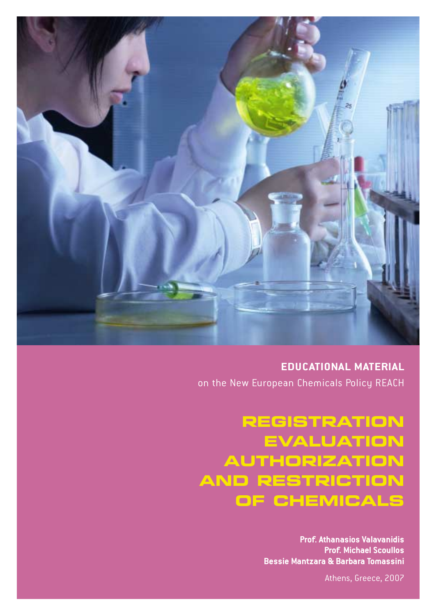

**EDUCATIONAL MATERIAL**  on the New European Chemicals Policy REACH

**REGISTRATION EVALUATION AUTHORIZATION AND RESTRICTION OF CHEMICALS**

> **Prof. Athanasios Valavanidis Prof. Michael Scoullos Bessie Mantzara & Barbara Tomassini**

> > Athens, Greece, 2007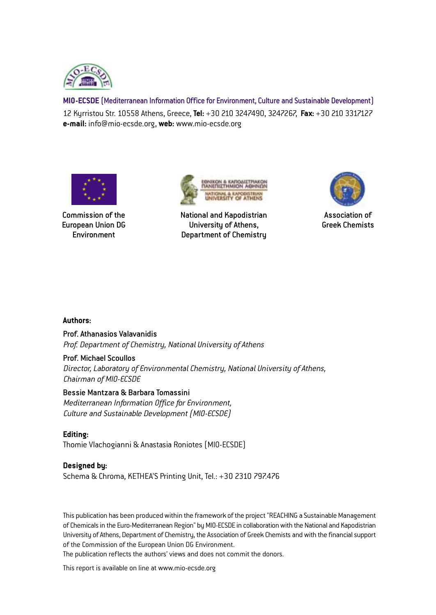

**MIO-ECSDE** (Mediterranean Information Office for Environment, Culture and Sustainable Development) 12 Kyrristou Str. 10558 Athens, Greece, **Tel:** +30 210 3247490, 3247267, **Fax:** +30 210 3317127 **e-mail:** info@mio-ecsde.org, **web:** www.mio-ecsde.org



Commission of the European Union DG **Environment** 



National and Kapodistrian University of Athens, Department of Chemistry



Association of Greek Chemists

#### **Authors:**

#### Prof. Athanasios Valavanidis

*Prof. Department of Chemistry, National University of Athens*

#### Prof. Michael Scoullos

*Director, Laboratory of Environmental Chemistry, National University of Athens, Chairman of MIO-ECSDE*

#### Bessie Mantzara & Barbara Tomassini

*Mediterranean Information Office for Environment, Culture and Sustainable Development (MIO-ECSDE)*

**Editing:**  Thomie Vlachogianni & Anastasia Roniotes (MIO-ECSDE)

#### **Designed by:**

Schema & Chroma, KETHEA'S Printing Unit, Tel.: +30 2310 797.476

This publication has been produced within the framework of the project "REACHING a Sustainable Management of Chemicals in the Euro-Mediterranean Region" by MIO-ECSDE in collaboration with the National and Kapodistrian University of Athens, Department of Chemistry, the Association of Greek Chemists and with the financial support of the Commission of the European Union DG Environment.

The publication reflects the authors' views and does not commit the donors.

This report is available on line at www.mio-ecsde.org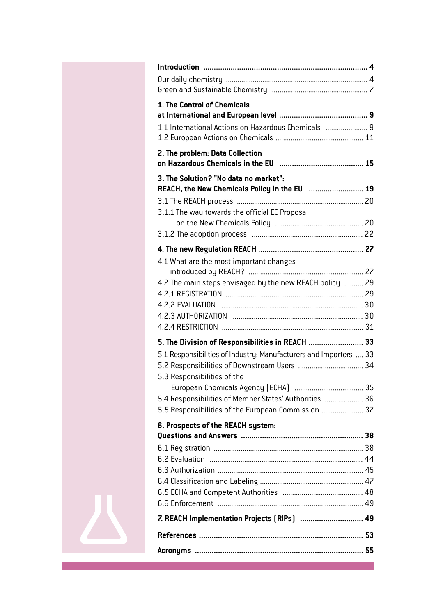| 1. The Control of Chemicals                                                                      |      |
|--------------------------------------------------------------------------------------------------|------|
| 1.1 International Actions on Hazardous Chemicals  9                                              |      |
| 2. The problem: Data Collection                                                                  |      |
| 3. The Solution? "No data no market":<br>REACH, the New Chemicals Policy in the EU  19           |      |
|                                                                                                  |      |
| 3.1.1 The way towards the official EC Proposal                                                   |      |
|                                                                                                  |      |
|                                                                                                  |      |
| 4.1 What are the most important changes                                                          |      |
| 4.2 The main steps envisaged by the new REACH policy  29                                         |      |
|                                                                                                  |      |
|                                                                                                  |      |
|                                                                                                  |      |
|                                                                                                  |      |
| 5. The Division of Responsibilities in REACH  33                                                 |      |
| 5.1 Responsibilities of Industry: Manufacturers and Importers  33<br>5.3 Responsibilities of the |      |
| European Chemicals Agency (ECHA)                                                                 | . 35 |
| 5.4 Responsibilities of Member States' Authorities  36                                           |      |
| 5.5 Responsibilities of the European Commission  37                                              |      |
| 6. Prospects of the REACH system:                                                                |      |
|                                                                                                  |      |
|                                                                                                  |      |
|                                                                                                  |      |
|                                                                                                  |      |
|                                                                                                  |      |
|                                                                                                  |      |
|                                                                                                  |      |
| 7. REACH Implementation Projects (RIPs)  49                                                      |      |
|                                                                                                  |      |
|                                                                                                  |      |
|                                                                                                  |      |

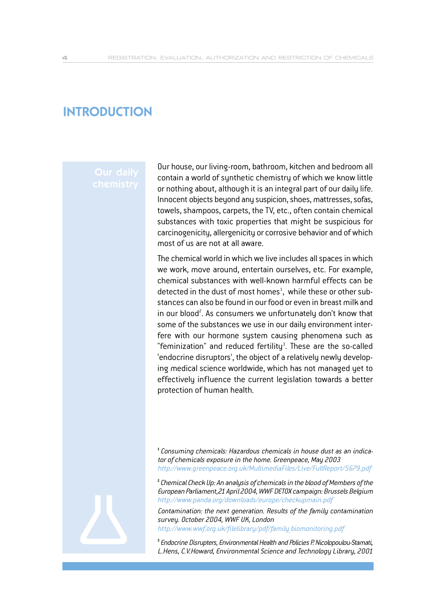## **INTRODUCTION**

Our house, our living-room, bathroom, kitchen and bedroom all contain a world of synthetic chemistry of which we know little or nothing about, although it is an integral part of our daily life. Innocent objects beyond any suspicion, shoes, mattresses, sofas, towels, shampoos, carpets, the TV, etc., often contain chemical substances with toxic properties that might be suspicious for carcinogenicity, allergenicity or corrosive behavior and of which most of us are not at all aware.

The chemical world in which we live includes all spaces in which we work, move around, entertain ourselves, etc. For example, chemical substances with well-known harmful effects can be detected in the dust of most homes<sup>1</sup>, while these or other substances can also be found in our food or even in breast milk and in our blood<sup>2</sup>. As consumers we unfortunately don't know that some of the substances we use in our daily environment interfere with our hormone system causing phenomena such as "feminization" and reduced fertility<sup>3</sup>. These are the so-called 'endocrine disruptors', the object of a relatively newly developing medical science worldwide, which has not managed yet to effectively influence the current legislation towards a better protection of human health.

**1** *Consuming chemicals: Hazardous chemicals in house dust as an indicator of chemicals exposure in the home. Greenpeace, May 2003 http://www.greenpeace.org.uk/MultimediaFiles/Live/FullReport/5679.pdf*

**<sup>2</sup>***Chemical Check Up: An analysis of chemicals in the blood of Members of the European Parliament,21 April 2004, WWF DETOX campaign: Brussels Belgium http://www.panda.org/downloads/europe/checkupmain.pdf*

*Contamination: the next generation. Results of the family contamination survey. October 2004, WWF UK, London http://www.wwf.org.uk/filelibrary/pdf/family\_biomonitoring.pdf*

**<sup>3</sup>***Endocrine Disrupters, Environmental Health and Policies P. Nicolopoulou-Stamati, L.Hens, C.V.Howard, Environmental Science and Technology Library, 2001*

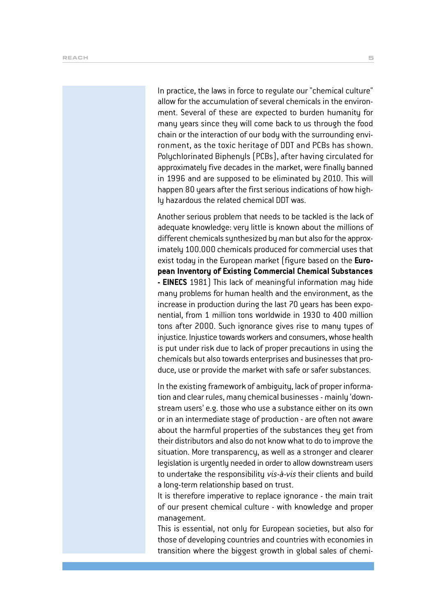In practice, the laws in force to regulate our "chemical culture" allow for the accumulation of several chemicals in the environment. Several of these are expected to burden humanity for many years since they will come back to us through the food chain or the interaction of our body with the surrounding environment, as the toxic heritage of DDT and PCBs has shown. Polychlorinated Biphenyls (PCBs), after having circulated for approximately five decades in the market, were finally banned in 1996 and are supposed to be eliminated by 2010. This will happen 80 years after the first serious indications of how highly hazardous the related chemical DDT was.

Another serious problem that needs to be tackled is the lack of adequate knowledge: very little is known about the millions of different chemicals synthesized by man but also for the approximately 100.000 chemicals produced for commercial uses that exist today in the European market (figure based on the **European Inventory of Existing Commercial Chemical Substances - EINECS** 1981) This lack of meaningful information may hide many problems for human health and the environment, as the increase in production during the last 70 years has been exponential, from 1 million tons worldwide in 1930 to 400 million tons after 2000. Such ignorance gives rise to many types of injustice. Injustice towards workers and consumers, whose health is put under risk due to lack of proper precautions in using the chemicals but also towards enterprises and businesses that produce, use or provide the market with safe or safer substances.

In the existing framework of ambiguity, lack of proper information and clear rules, many chemical businesses - mainly 'downstream users' e.g. those who use a substance either on its own or in an intermediate stage of production - are often not aware about the harmful properties of the substances they get from their distributors and also do not know what to do to improve the situation. More transparency, as well as a stronger and clearer legislation is urgently needed in order to allow downstream users to undertake the responsibility *vis-à-vis* their clients and build a long-term relationship based on trust.

It is therefore imperative to replace ignorance - the main trait of our present chemical culture - with knowledge and proper management.

This is essential, not only for European societies, but also for those of developing countries and countries with economies in transition where the biggest growth in global sales of chemi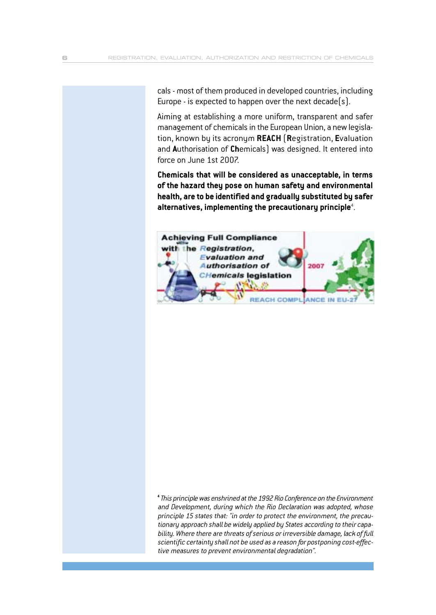cals - most of them produced in developed countries, including Europe - is expected to happen over the next decade(s).

Aiming at establishing a more uniform, transparent and safer management of chemicals in the European Union, a new legislation, known by its acronym **REACH** (**R**egistration, **E**valuation and **A**uthorisation of **Ch**emicals) was designed. It entered into force on June 1st 2007.

**Chemicals that will be considered as unacceptable, in terms of the hazard they pose on human safety and environmental health, are to be identified and gradually substituted by safer alternatives, implementing the precautionary principle**<sup>4</sup> .



**<sup>4</sup>***This principle was enshrined at the 1992 Rio Conference on the Environment and Development, during which the Rio Declaration was adopted, whose principle 15 states that: "in order to protect the environment, the precautionary approach shall be widely applied by States according to their capability. Where there are threats of serious or irreversible damage, lack of full scientific certainty shall not be used as a reason for postponing cost-effective measures to prevent environmental degradation".*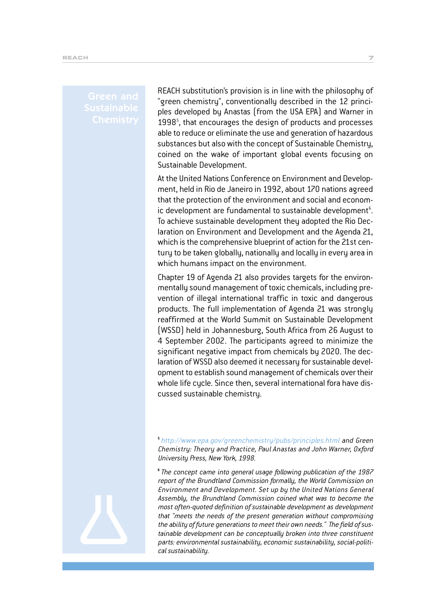# Green and

REACH substitution's provision is in line with the philosophy of "green chemistry", conventionally described in the 12 principles developed by Anastas (from the USA EPA) and Warner in 1998<sup>5</sup>, that encourages the design of products and processes able to reduce or eliminate the use and generation of hazardous substances but also with the concept of Sustainable Chemistry, coined on the wake of important global events focusing on Sustainable Development.

At the United Nations Conference on Environment and Development, held in Rio de Janeiro in 1992, about 170 nations agreed that the protection of the environment and social and economic development are fundamental to sustainable development $^{\mathrm{6}}$ . To achieve sustainable development they adopted the Rio Declaration on Environment and Development and the Agenda 21, which is the comprehensive blueprint of action for the 21st century to be taken globally, nationally and locally in every area in which humans impact on the environment.

Chapter 19 of Agenda 21 also provides targets for the environmentally sound management of toxic chemicals, including prevention of illegal international traffic in toxic and dangerous products. The full implementation of Agenda 21 was strongly reaffirmed at the World Summit on Sustainable Development (WSSD) held in Johannesburg, South Africa from 26 August to 4 September 2002. The participants agreed to minimize the significant negative impact from chemicals by 2020. The declaration of WSSD also deemed it necessary for sustainable development to establish sound management of chemicals over their whole life cycle. Since then, several international fora have discussed sustainable chemistry.

**<sup>5</sup>***http://www.epa.gov/greenchemistry/pubs/principles.html and Green Chemistry: Theory and Practice, Paul Anastas and John Warner, Oxford University Press, New York, 1998.*

**<sup>6</sup>***The concept came into general usage following publication of the 1987 report of the Brundtland Commission formally, the World Commission on Environment and Development. Set up by the United Nations General Assembly, the Brundtland Commission coined what was to become the most often-quoted definition of sustainable development as development that "meets the needs of the present generation without compromising the ability of future generations to meet their own needs." The field of sustainable development can be conceptually broken into three constituent parts: environmental sustainability, economic sustainability, social-political sustainability.*

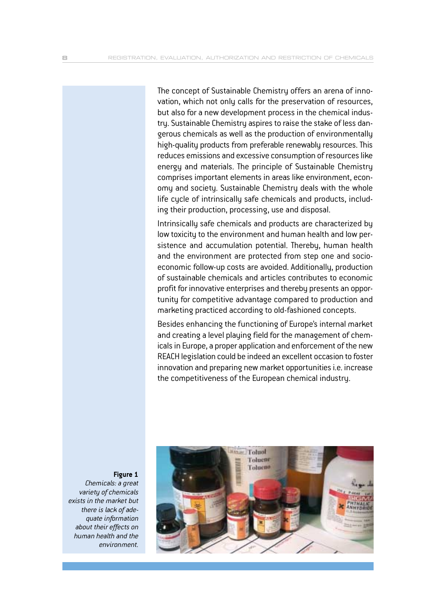The concept of Sustainable Chemistry offers an arena of innovation, which not only calls for the preservation of resources, but also for a new development process in the chemical industry. Sustainable Chemistry aspires to raise the stake of less dangerous chemicals as well as the production of environmentally high-quality products from preferable renewably resources. This reduces emissions and excessive consumption of resources like energy and materials. The principle of Sustainable Chemistry comprises important elements in areas like environment, economy and society. Sustainable Chemistry deals with the whole life cycle of intrinsically safe chemicals and products, including their production, processing, use and disposal.

Intrinsically safe chemicals and products are characterized by low toxicity to the environment and human health and low persistence and accumulation potential. Thereby, human health and the environment are protected from step one and socioeconomic follow-up costs are avoided. Additionally, production of sustainable chemicals and articles contributes to economic profit for innovative enterprises and thereby presents an opportunity for competitive advantage compared to production and marketing practiced according to old-fashioned concepts.

Besides enhancing the functioning of Europe's internal market and creating a level playing field for the management of chemicals in Europe, a proper application and enforcement of the new REACH legislation could be indeed an excellent occasion to foster innovation and preparing new market opportunities i.e. increase the competitiveness of the European chemical industry.



**Figure 1**

*Chemicals: a great variety of chemicals exists in the market but there is lack of adequate information about their effects on human health and the environment.*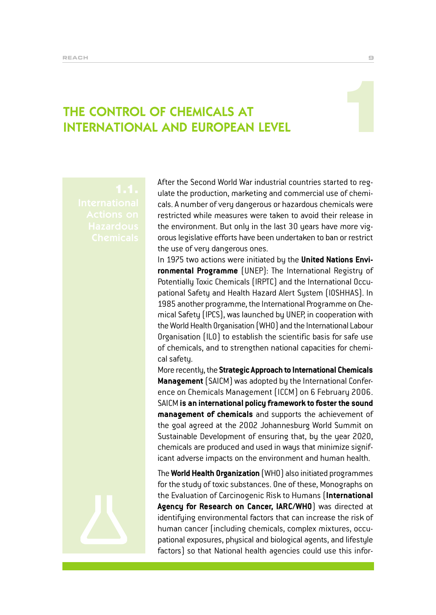# THE CONTROL OF CHEMICALS AT INTERNATIONAL AND EUROPEAN LEVEL

After the Second World War industrial countries started to regulate the production, marketing and commercial use of chemicals. A number of very dangerous or hazardous chemicals were restricted while measures were taken to avoid their release in the environment. But only in the last 30 years have more vigorous legislative efforts have been undertaken to ban or restrict the use of very dangerous ones.

In 1975 two actions were initiated by the **United Nations Environmental Programme** (UNEP): The International Registry of Potentially Toxic Chemicals (IRPTC) and the International Occupational Safety and Health Hazard Alert System (IOSHHAS). In 1985 another programme, the International Programme on Chemical Safety (IPCS), was launched by UNEP, in cooperation with the World Health Organisation (WHO) and the International Labour Organisation (ILO) to establish the scientific basis for safe use of chemicals, and to strengthen national capacities for chemical safety.

More recently, the **Strategic Approach to International Chemicals Management**(SAICM) was adopted by the International Conference on Chemicals Management (ICCM) on 6 February 2006. SAICM **is an international policy framework to foster the sound management of chemicals** and supports the achievement of the goal agreed at the 2002 Johannesburg World Summit on Sustainable Development of ensuring that, by the year 2020, chemicals are produced and used in ways that minimize significant adverse impacts on the environment and human health.

The **World Health Organization** (WHO) also initiated programmes for the study of toxic substances. One of these, Monographs on the Evaluation of Carcinogenic Risk to Humans (**International Agency for Research on Cancer, IARC/WHO**) was directed at identifying environmental factors that can increase the risk of human cancer (including chemicals, complex mixtures, occupational exposures, physical and biological agents, and lifestyle factors) so that National health agencies could use this infor-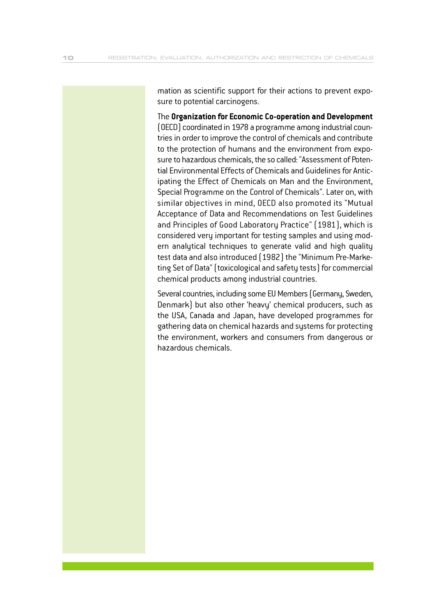mation as scientific support for their actions to prevent exposure to potential carcinogens.

The **Organization for Economic Co-operation and Development** (OECD) coordinated in 1978 a programme among industrial countries in order to improve the control of chemicals and contribute to the protection of humans and the environment from exposure to hazardous chemicals, the so called: "Assessment of Potential Environmental Effects of Chemicals and Guidelines for Anticipating the Effect of Chemicals on Man and the Environment, Special Programme on the Control of Chemicals". Later on, with similar objectives in mind, OECD also promoted its "Mutual Acceptance of Data and Recommendations on Test Guidelines and Principles of Good Laboratory Practice" (1981), which is considered very important for testing samples and using modern analytical techniques to generate valid and high quality test data and also introduced (1982) the "Minimum Pre-Marketing Set of Data" (toxicological and safety tests) for commercial chemical products among industrial countries.

Several countries, including some EU Members (Germany, Sweden, Denmark) but also other 'heavy' chemical producers, such as the USA, Canada and Japan, have developed programmes for gathering data on chemical hazards and systems for protecting the environment, workers and consumers from dangerous or hazardous chemicals.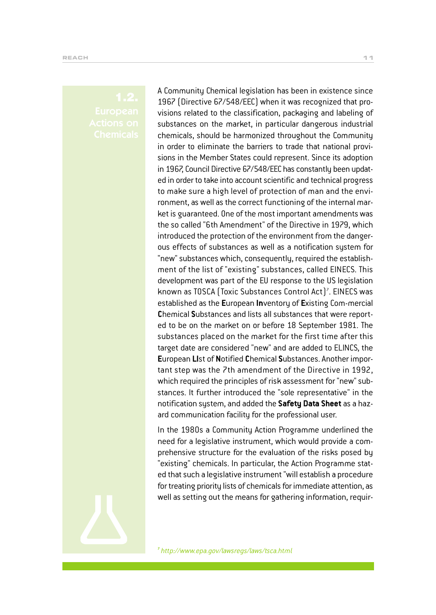A Community Chemical legislation has been in existence since 1967 (Directive 67/548/EEC) when it was recognized that provisions related to the classification, packaging and labeling of substances on the market, in particular dangerous industrial chemicals, should be harmonized throughout the Community in order to eliminate the barriers to trade that national provisions in the Member States could represent. Since its adoption in 1967, Council Directive 67/548/EEC has constantly been updated in order to take into account scientific and technical progress to make sure a high level of protection of man and the environment, as well as the correct functioning of the internal market is guaranteed. One of the most important amendments was the so called "6th Amendment" of the Directive in 1979, which introduced the protection of the environment from the dangerous effects of substances as well as a notification system for "new" substances which, consequently, required the establishment of the list of "existing" substances, called EINECS. This development was part of the EU response to the US legislation known as TOSCA (Toxic Substances Control Act)<sup>?</sup>. EINECS was established as the **E**uropean **In**ventory of **E**xisting Com-mercial **C**hemical **S**ubstances and lists all substances that were reported to be on the market on or before 18 September 1981. The substances placed on the market for the first time after this target date are considered "new" and are added to ELINCS, the **E**uropean **LI**st of **N**otified **C**hemical **S**ubstances. Another important step was the 7th amendment of the Directive in 1992, which required the principles of risk assessment for "new" substances. It further introduced the "sole representative" in the notification system, and added the **Safety Data Sheet** as a hazard communication facility for the professional user.

In the 1980s a Community Action Programme underlined the need for a legislative instrument, which would provide a comprehensive structure for the evaluation of the risks posed by "existing" chemicals. In particular, the Action Programme stated that such a legislative instrument "will establish a procedure for treating priority lists of chemicals for immediate attention, as well as setting out the means for gathering information, requir-



**7** *http://www.epa.gov/lawsregs/laws/tsca.html*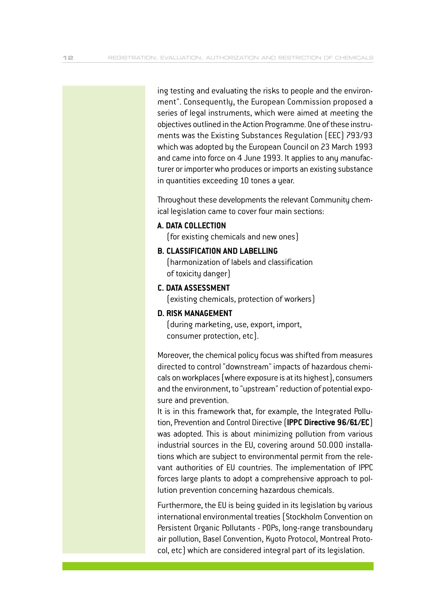ing testing and evaluating the risks to people and the environment". Consequently, the European Commission proposed a series of legal instruments, which were aimed at meeting the objectives outlined in the Action Programme. One of these instruments was the Existing Substances Regulation (EEC) 793/93 which was adopted by the European Council on 23 March 1993 and came into force on 4 June 1993. It applies to any manufacturer or importer who produces or imports an existing substance in quantities exceeding 10 tones a year.

Throughout these developments the relevant Community chemical legislation came to cover four main sections:

#### **A. DATA COLLECTION**

(for existing chemicals and new ones)

#### **B. CLASSIFICATION AND LABELLING**

(harmonization of labels and classification of toxicity danger)

#### **C. DATA ASSESSMENT**

(existing chemicals, protection of workers)

#### **D. RISK MANAGEMENT**

(during marketing, use, export, import, consumer protection, etc).

Moreover, the chemical policy focus was shifted from measures directed to control "downstream" impacts of hazardous chemicals on workplaces (where exposure is at its highest), consumers and the environment, to "upstream" reduction of potential exposure and prevention.

It is in this framework that, for example, the Integrated Pollution, Prevention and Control Directive (**IPPC Directive 96/61/EC**) was adopted. This is about minimizing pollution from various industrial sources in the EU, covering around 50.000 installations which are subject to environmental permit from the relevant authorities of EU countries. The implementation of IPPC forces large plants to adopt a comprehensive approach to pollution prevention concerning hazardous chemicals.

Furthermore, the EU is being guided in its legislation by various international environmental treaties (Stockholm Convention on Persistent Organic Pollutants - POPs, long-range transboundary air pollution, Basel Convention, Kyoto Protocol, Montreal Protocol, etc) which are considered integral part of its legislation.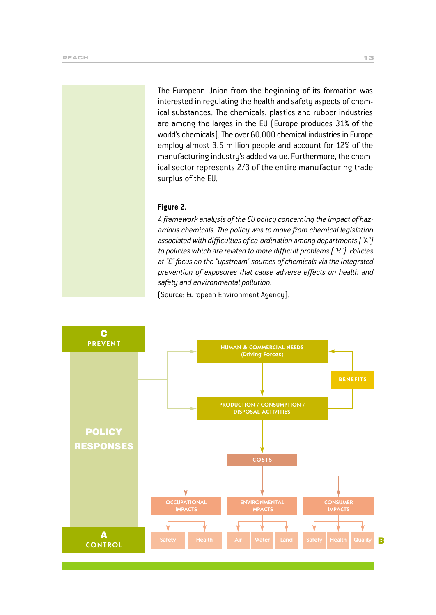The European Union from the beginning of its formation was interested in regulating the health and safety aspects of chemical substances. The chemicals, plastics and rubber industries are among the larges in the EU (Europe produces 31% of the world's chemicals). The over 60.000 chemical industries in Europe employ almost 3.5 million people and account for 12% of the manufacturing industry's added value. Furthermore, the chemical sector represents 2/3 of the entire manufacturing trade surplus of the EU.

#### **Figure 2.**

*A framework analysis of the EU policy concerning the impact of hazardous chemicals. The policy was to move from chemical legislation associated with difficulties of co-ordination among departments ("A") to policies which are related to more difficult problems ("B"). Policies at "C" focus on the "upstream" sources of chemicals via the integrated prevention of exposures that cause adverse effects on health and safety and environmental pollution.* 

(Source: European Environment Agency).

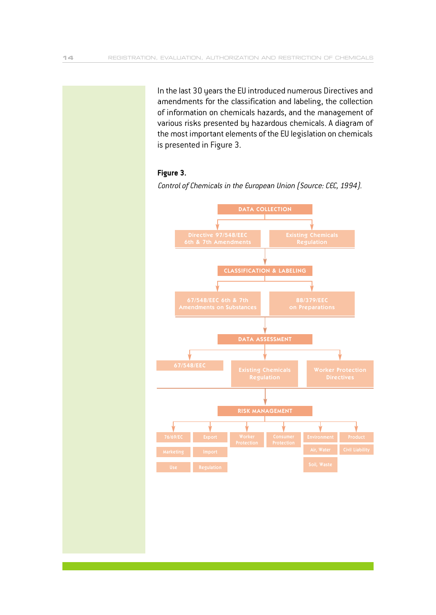In the last 30 years the EU introduced numerous Directives and amendments for the classification and labeling, the collection of information on chemicals hazards, and the management of various risks presented by hazardous chemicals. A diagram of the most important elements of the EU legislation on chemicals is presented in Figure 3.

#### **Figure 3.**

*Control of Chemicals in the European Union (Source: CEC, 1994).*

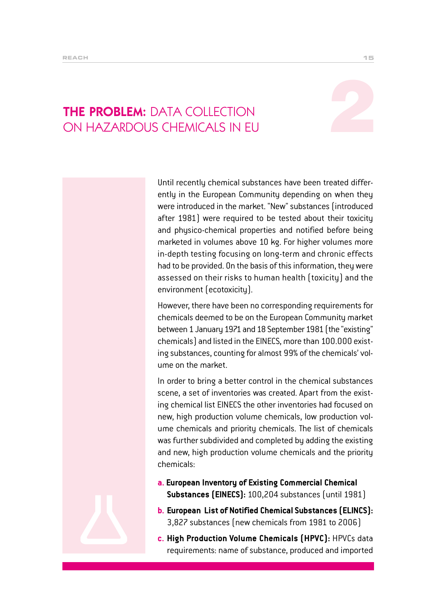# THE PROBLEM: DATA COLLECTION THE PROBLEM: DATA COLLECTION<br>ON HAZARDOUS CHEMICALS IN EU

Until recently chemical substances have been treated differently in the European Community depending on when they were introduced in the market. "New" substances (introduced after 1981) were required to be tested about their toxicity and physico-chemical properties and notified before being marketed in volumes above 10 kg. For higher volumes more in-depth testing focusing on long-term and chronic effects had to be provided. On the basis of this information, they were assessed on their risks to human health (toxicity) and the environment (ecotoxicity).

However, there have been no corresponding requirements for chemicals deemed to be on the European Community market between 1 January 1971 and 18 September 1981 (the "existing" chemicals) and listed in the EINECS, more than 100.000 existing substances, counting for almost 99% of the chemicals' volume on the market.

In order to bring a better control in the chemical substances scene, a set of inventories was created. Apart from the existing chemical list EINECS the other inventories had focused on new, high production volume chemicals, low production volume chemicals and priority chemicals. The list of chemicals was further subdivided and completed by adding the existing and new, high production volume chemicals and the priority chemicals:

- **a. European Inventory of Existing Commercial Chemical Substances (EINECS):** 100,204 substances (until 1981)
- **b. European List of Notified Chemical Substances (ELINCS):** 3,827 substances (new chemicals from 1981 to 2006)
- **c. High Production Volume Chemicals (HPVC):** HPVCs data requirements: name of substance, produced and imported

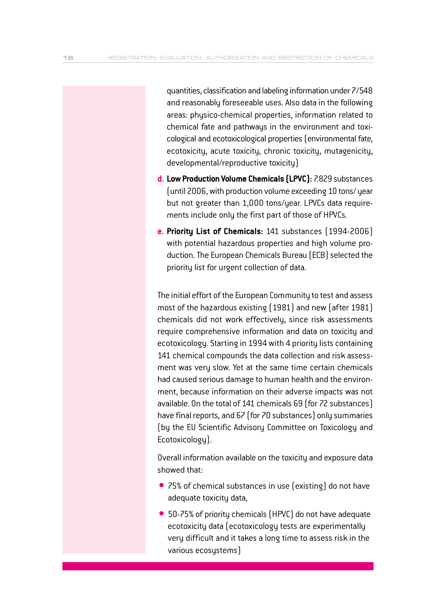quantities, classification and labeling information under 7/548 and reasonably foreseeable uses. Also data in the following areas: physico-chemical properties, information related to chemical fate and pathways in the environment and toxicological and ecotoxicological properties (environmental fate, ecotoxicity, acute toxicity, chronic toxicity, mutagenicity, developmental/reproductive toxicity)

- **d. Low Production Volume Chemicals (LPVC):** 7.829 substances (until 2006, with production volume exceeding 10 tons/ year but not greater than 1,000 tons/year. LPVCs data requirements include only the first part of those of HPVCs.
- **e. Priority List of Chemicals:** 141 substances (1994-2006) with potential hazardous properties and high volume production. The European Chemicals Bureau (ECB) selected the priority list for urgent collection of data.

The initial effort of the European Community to test and assess most of the hazardous existing (1981) and new (after 1981) chemicals did not work effectively, since risk assessments require comprehensive information and data on toxicity and ecotoxicology. Starting in 1994 with 4 priority lists containing 141 chemical compounds the data collection and risk assessment was very slow. Yet at the same time certain chemicals had caused serious damage to human health and the environment, because information on their adverse impacts was not available. On the total of 141 chemicals 69 (for 72 substances) have final reports, and 67 (for 70 substances) only summaries (by the EU Scientific Advisory Committee on Toxicology and Ecotoxicology).

Overall information available on the toxicity and exposure data showed that:

- 75% of chemical substances in use (existing) do not have adequate toxicity data,
- 50-75% of priority chemicals (HPVC) do not have adequate ecotoxicity data (ecotoxicology tests are experimentally very difficult and it takes a long time to assess risk in the various ecosystems)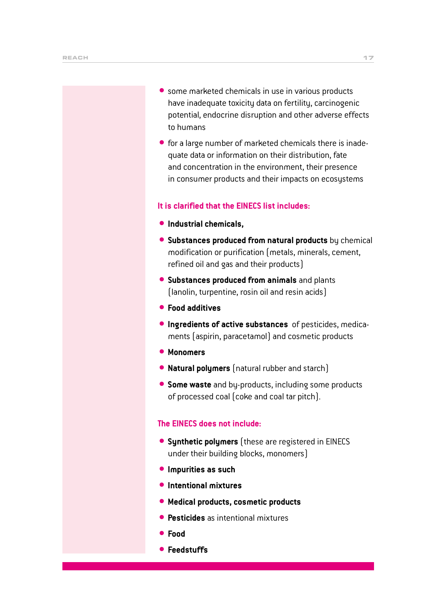- some marketed chemicals in use in various products have inadequate toxicity data on fertility, carcinogenic potential, endocrine disruption and other adverse effects to humans
- for a large number of marketed chemicals there is inadequate data or information on their distribution, fate and concentration in the environment, their presence in consumer products and their impacts on ecosystems

#### **It is clarified that the EINECS list includes:**

- $\bullet$  Industrial chemicals,
- **Substances produced from natural products** by chemical modification or purification (metals, minerals, cement, refined oil and gas and their products)
- **Substances produced from animals** and plants (lanolin, turpentine, rosin oil and resin acids)
- $\bullet$  **Food additives**
- $\bullet$  **Ingredients of active substances** of pesticides, medicaments (aspirin, paracetamol) and cosmetic products
- $•$  Monomers
- **Natural polymers** [natural rubber and starch]
- **Some waste** and by-products, including some products of processed coal (coke and coal tar pitch).

#### **The EINECS does not include:**

- **Synthetic polymers** (these are registered in EINECS under their building blocks, monomers)
- $\bullet$  **Impurities as such**
- $\bullet$  **Intentional mixtures**
- **Medical products, cosmetic products**
- **Pesticides** as intentional mixtures
- **•** Food
- **Feedstuffs**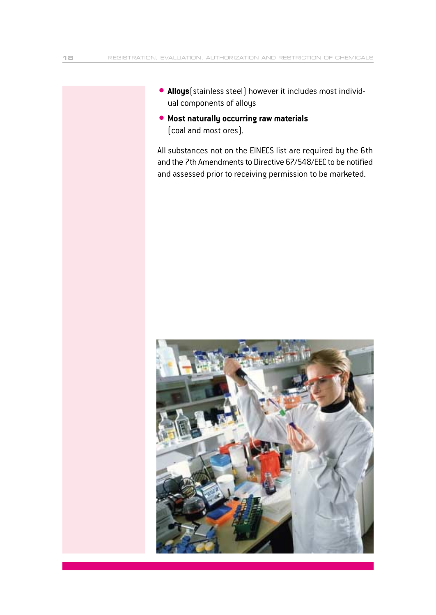- **Alloys** (stainless steel) however it includes most individual components of alloys
- $\bullet$  **Most naturally occurring raw materials** (coal and most ores).

All substances not on the EINECS list are required by the 6th and the 7th Amendments to Directive 67/548/EEC to be notified and assessed prior to receiving permission to be marketed.

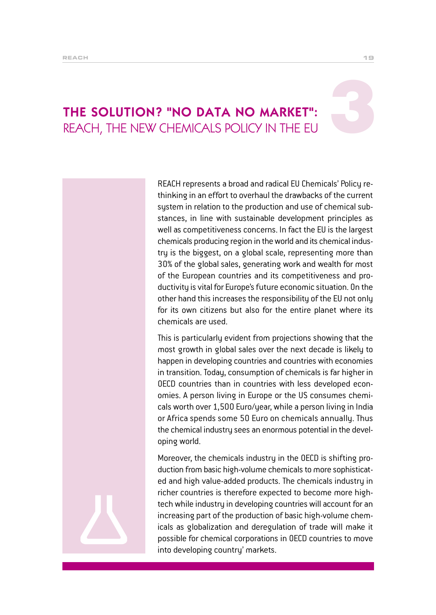# THE SOLUTION? "NO DATA NO MARKET": REACH, THE NEW CHEMICALS POLICY IN THE EU

REACH represents a broad and radical EU Chemicals' Policy rethinking in an effort to overhaul the drawbacks of the current system in relation to the production and use of chemical substances, in line with sustainable development principles as well as competitiveness concerns. In fact the EU is the largest chemicals producing region in the world and its chemical industry is the biggest, on a global scale, representing more than 30% of the global sales, generating work and wealth for most of the European countries and its competitiveness and productivity is vital for Europe's future economic situation. On the other hand this increases the responsibility of the EU not only for its own citizens but also for the entire planet where its chemicals are used.

This is particularly evident from projections showing that the most growth in global sales over the next decade is likely to happen in developing countries and countries with economies in transition. Today, consumption of chemicals is far higher in OECD countries than in countries with less developed economies. A person living in Europe or the US consumes chemicals worth over 1,500 Euro/year, while a person living in India or Africa spends some 50 Euro on chemicals annually. Thus the chemical industry sees an enormous potential in the developing world.

Moreover, the chemicals industry in the OECD is shifting production from basic high-volume chemicals to more sophisticated and high value-added products. The chemicals industry in richer countries is therefore expected to become more hightech while industry in developing countries will account for an increasing part of the production of basic high-volume chemicals as globalization and deregulation of trade will make it possible for chemical corporations in OECD countries to move into developing country' markets.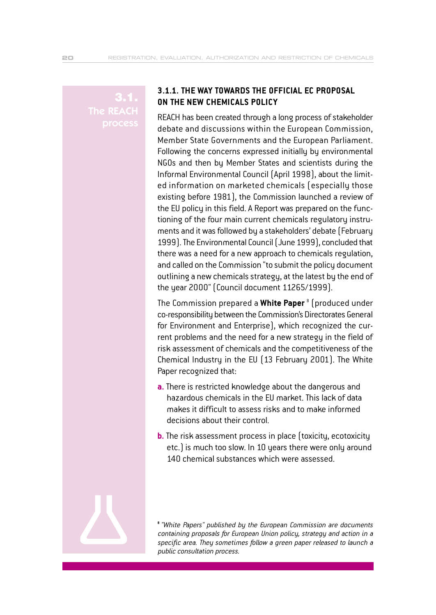**The REAC** 

#### **3.1.1. THE WAY TOWARDS THE OFFICIAL EC PROPOSAL ON THE NEW CHEMICALS POLICY**

REACH has been created through a long process of stakeholder debate and discussions within the European Commission, Member State Governments and the European Parliament. Following the concerns expressed initially by environmental NGOs and then by Member States and scientists during the Informal Environmental Council (April 1998), about the limited information on marketed chemicals (especially those existing before 1981), the Commission launched a review of the EU policy in this field. A Report was prepared on the functioning of the four main current chemicals regulatory instruments and it was followed by a stakeholders' debate (February 1999). The Environmental Council (June 1999), concluded that there was a need for a new approach to chemicals regulation, and called on the Commission "to submit the policy document outlining a new chemicals strategy, at the latest by the end of the year 2000" (Council document 11265/1999).

The Commission prepared a **White Paper** <sup>8</sup> (produced under co-responsibility between the Commission's Directorates General for Environment and Enterprise), which recognized the current problems and the need for a new strategy in the field of risk assessment of chemicals and the competitiveness of the Chemical Industry in the EU (13 February 2001). The White Paper recognized that:

- **a.**There is restricted knowledge about the dangerous and hazardous chemicals in the EU market. This lack of data makes it difficult to assess risks and to make informed decisions about their control.
- **b.** The risk assessment process in place (toxicity, ecotoxicity etc.) is much too slow. In 10 years there were only around 140 chemical substances which were assessed.



**<sup>8</sup>***"White Papers" published by the European Commission are documents containing proposals for European Union policy, strategy and action in a specific area. They sometimes follow a green paper released to launch a public consultation process.*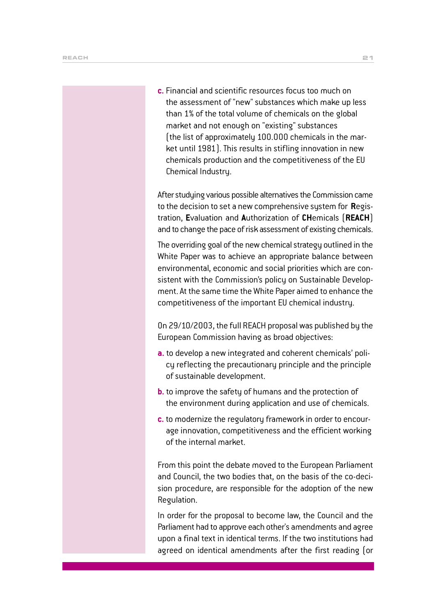**c.** Financial and scientific resources focus too much on the assessment of "new" substances which make up less than 1% of the total volume of chemicals on the global market and not enough on "existing" substances (the list of approximately 100.000 chemicals in the market until 1981). This results in stifling innovation in new chemicals production and the competitiveness of the EU Chemical Industry.

After studying various possible alternatives the Commission came to the decision to set a new comprehensive system for **R**egistration, **E**valuation and **A**uthorization of **CH**emicals (**REACH**) and to change the pace of risk assessment of existing chemicals.

The overriding goal of the new chemical strategy outlined in the White Paper was to achieve an appropriate balance between environmental, economic and social priorities which are consistent with the Commission's policy on Sustainable Development. At the same time the White Paper aimed to enhance the competitiveness of the important EU chemical industry.

On 29/10/2003, the full REACH proposal was published by the European Commission having as broad objectives:

- **a.** to develop a new integrated and coherent chemicals' policy reflecting the precautionary principle and the principle of sustainable development.
- **b.** to improve the safety of humans and the protection of the environment during application and use of chemicals.
- **c.** to modernize the regulatory framework in order to encourage innovation, competitiveness and the efficient working of the internal market.

From this point the debate moved to the European Parliament and Council, the two bodies that, on the basis of the co-decision procedure, are responsible for the adoption of the new Regulation.

In order for the proposal to become law, the Council and the Parliament had to approve each other's amendments and agree upon a final text in identical terms. If the two institutions had agreed on identical amendments after the first reading (or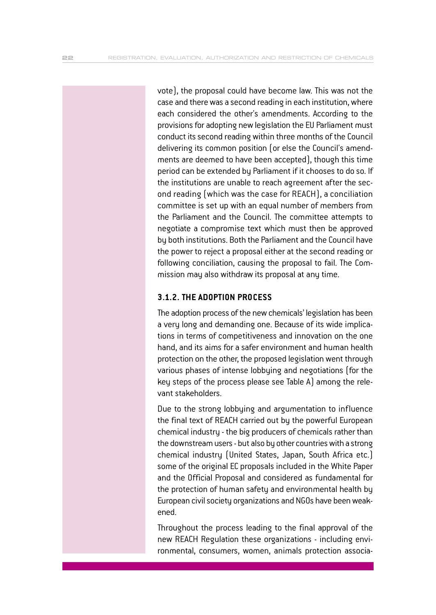vote), the proposal could have become law. This was not the case and there was a second reading in each institution, where each considered the other's amendments. According to the provisions for adopting new legislation the EU Parliament must conduct its second reading within three months of the Council delivering its common position (or else the Council's amendments are deemed to have been accepted), though this time period can be extended by Parliament if it chooses to do so. If the institutions are unable to reach agreement after the second reading (which was the case for REACH), a conciliation committee is set up with an equal number of members from the Parliament and the Council. The committee attempts to negotiate a compromise text which must then be approved by both institutions. Both the Parliament and the Council have the power to reject a proposal either at the second reading or following conciliation, causing the proposal to fail. The Commission may also withdraw its proposal at any time.

#### **3.1.2. THE ADOPTION PROCESS**

The adoption process of the new chemicals' legislation has been a very long and demanding one. Because of its wide implications in terms of competitiveness and innovation on the one hand, and its aims for a safer environment and human health protection on the other, the proposed legislation went through various phases of intense lobbying and negotiations (for the key steps of the process please see Table A) among the relevant stakeholders.

Due to the strong lobbying and argumentation to influence the final text of REACH carried out by the powerful European chemical industry - the big producers of chemicals rather than the downstream users - but also by other countries with a strong chemical industry (United States, Japan, South Africa etc.) some of the original EC proposals included in the White Paper and the Official Proposal and considered as fundamental for the protection of human safety and environmental health by European civil society organizations and NGOs have been weakened.

Throughout the process leading to the final approval of the new REACH Regulation these organizations - including environmental, consumers, women, animals protection associa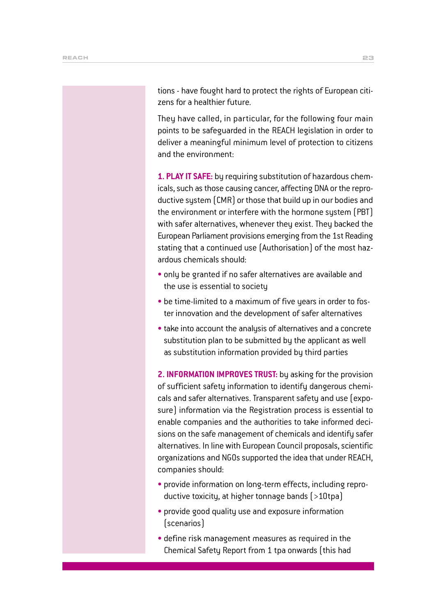tions - have fought hard to protect the rights of European citizens for a healthier future.

They have called, in particular, for the following four main points to be safeguarded in the REACH legislation in order to deliver a meaningful minimum level of protection to citizens and the environment:

**1. PLAY IT SAFE:** by requiring substitution of hazardous chemicals, such as those causing cancer, affecting DNA or the reproductive system (CMR) or those that build up in our bodies and the environment or interfere with the hormone system (PBT) with safer alternatives, whenever they exist. They backed the European Parliament provisions emerging from the 1st Reading stating that a continued use (Authorisation) of the most hazardous chemicals should:

- only be granted if no safer alternatives are available and the use is essential to society
- be time-limited to a maximum of five years in order to foster innovation and the development of safer alternatives
- take into account the analysis of alternatives and a concrete substitution plan to be submitted by the applicant as well as substitution information provided by third parties

**2. INFORMATION IMPROVES TRUST:** by asking for the provision of sufficient safety information to identify dangerous chemicals and safer alternatives. Transparent safety and use (exposure) information via the Registration process is essential to enable companies and the authorities to take informed decisions on the safe management of chemicals and identify safer alternatives. In line with European Council proposals, scientific organizations and NGOs supported the idea that under REACH, companies should:

- provide information on long-term effects, including reproductive toxicity, at higher tonnage bands (>10tpa)
- provide good quality use and exposure information (scenarios)
- define risk management measures as required in the Chemical Safety Report from 1 tpa onwards (this had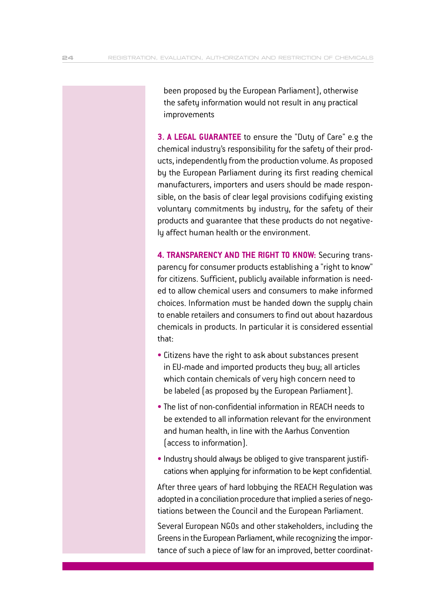been proposed by the European Parliament), otherwise the safety information would not result in any practical improvements

**3. A LEGAL GUARANTEE** to ensure the "Duty of Care" e.g the chemical industry's responsibility for the safety of their products, independently from the production volume. As proposed by the European Parliament during its first reading chemical manufacturers, importers and users should be made responsible, on the basis of clear legal provisions codifying existing voluntary commitments by industry, for the safety of their products and guarantee that these products do not negatively affect human health or the environment.

**4. TRANSPARENCY AND THE RIGHT TO KNOW:** Securing transparency for consumer products establishing a "right to know" for citizens. Sufficient, publicly available information is needed to allow chemical users and consumers to make informed choices. Information must be handed down the supply chain to enable retailers and consumers to find out about hazardous chemicals in products. In particular it is considered essential that:

- Citizens have the right to ask about substances present in EU-made and imported products they buy; all articles which contain chemicals of very high concern need to be labeled (as proposed by the European Parliament).
- The list of non-confidential information in REACH needs to be extended to all information relevant for the environment and human health, in line with the Aarhus Convention (access to information).
- Industry should always be obliged to give transparent justifications when applying for information to be kept confidential.

After three years of hard lobbying the REACH Regulation was adopted in a conciliation procedure that implied a series of negotiations between the Council and the European Parliament.

Several European NGOs and other stakeholders, including the Greens in the European Parliament, while recognizing the importance of such a piece of law for an improved, better coordinat-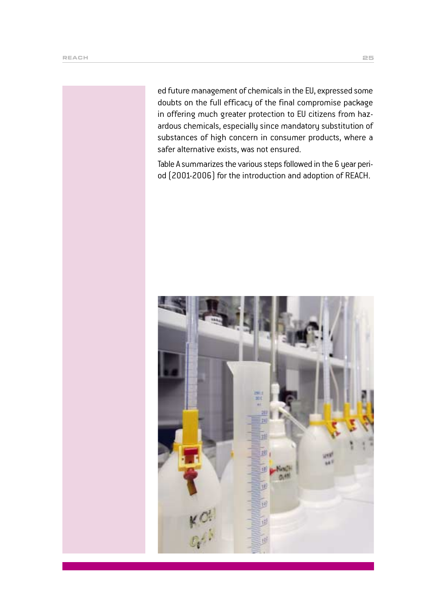ed future management of chemicals in the EU, expressed some doubts on the full efficacy of the final compromise package in offering much greater protection to EU citizens from hazardous chemicals, especially since mandatory substitution of substances of high concern in consumer products, where a safer alternative exists, was not ensured.

Table A summarizes the various steps followed in the 6 year period (2001-2006) for the introduction and adoption of REACH.

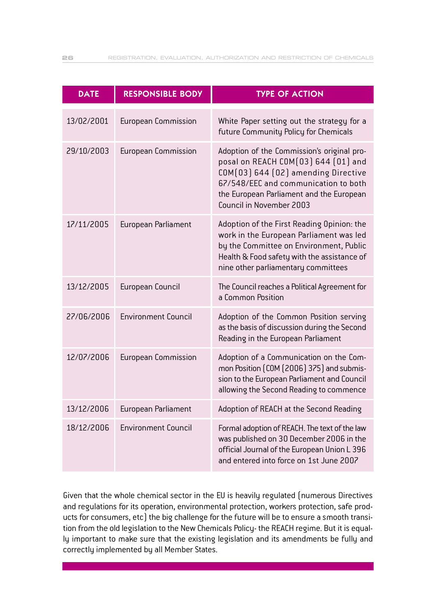| <b>DATE</b> | <b>RESPONSIBLE BODY</b>    | <b>TYPE OF ACTION</b>                                                                                                                                                                                                                    |
|-------------|----------------------------|------------------------------------------------------------------------------------------------------------------------------------------------------------------------------------------------------------------------------------------|
| 13/02/2001  | <b>European Commission</b> | White Paper setting out the strategy for a<br>future Community Policy for Chemicals                                                                                                                                                      |
| 29/10/2003  | <b>European Commission</b> | Adoption of the Commission's original pro-<br>posal on REACH COM(03) 644 (01) and<br>COM(03) 644 (02) amending Directive<br>67/548/EEC and communication to both<br>the European Parliament and the European<br>Council in November 2003 |
| 17/11/2005  | European Parliament        | Adoption of the First Reading Opinion: the<br>work in the European Parliament was led<br>by the Committee on Environment, Public<br>Health & Food safety with the assistance of<br>nine other parliamentary committees                   |
| 13/12/2005  | European Council           | The Council reaches a Political Agreement for<br>a Common Position                                                                                                                                                                       |
| 27/06/2006  | <b>Environment Council</b> | Adoption of the Common Position serving<br>as the basis of discussion during the Second<br>Reading in the European Parliament                                                                                                            |
| 12/07/2006  | <b>European Commission</b> | Adoption of a Communication on the Com-<br>mon Position (COM (2006) 375) and submis-<br>sion to the European Parliament and Council<br>allowing the Second Reading to commence                                                           |
| 13/12/2006  | European Parliament        | Adoption of REACH at the Second Reading                                                                                                                                                                                                  |
| 18/12/2006  | <b>Environment Council</b> | Formal adoption of REACH. The text of the law<br>was published on 30 December 2006 in the<br>official Journal of the European Union L 396<br>and entered into force on 1st June 2007                                                     |

Given that the whole chemical sector in the EU is heavily regulated (numerous Directives and regulations for its operation, environmental protection, workers protection, safe products for consumers, etc) the big challenge for the future will be to ensure a smooth transition from the old legislation to the New Chemicals Policy- the REACH regime. But it is equally important to make sure that the existing legislation and its amendments be fully and correctly implemented by all Member States.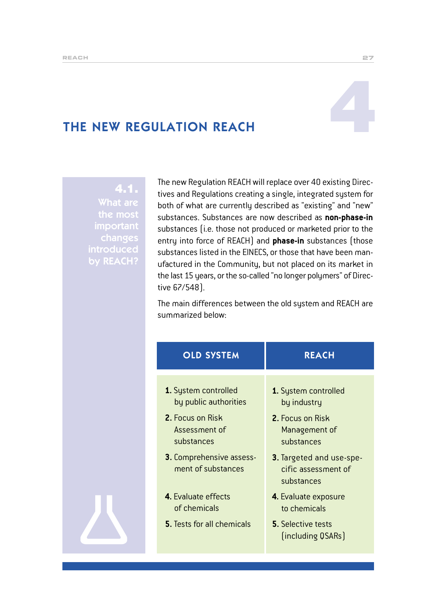# THE NEW REGULATION REACH

## 4.1. What are important changes introduced by REACH?

The new Regulation REACH will replace over 40 existing Directives and Regulations creating a single, integrated system for both of what are currently described as "existing" and "new" substances. Substances are now described as **non-phase-in** substances (i.e. those not produced or marketed prior to the entry into force of REACH) and **phase-in** substances (those substances listed in the EINECS, or those that have been manufactured in the Community, but not placed on its market in the last 15 years, or the so-called "no longer polymers" of Directive 67/548).

The main differences between the old system and REACH are summarized below:

| <b>OLD SYSTEM</b>                                                                                | <b>REACH</b>                                                                                  |
|--------------------------------------------------------------------------------------------------|-----------------------------------------------------------------------------------------------|
| 1. System controlled<br>by public authorities<br>2. Focus on Risk<br>Assessment of<br>substances | 1. System controlled<br>by industry<br><b>2.</b> Focus on Risk<br>Management of<br>substances |
| <b>3.</b> Comprehensive assess-<br>ment of substances                                            | 3. Targeted and use-spe-<br>cific assessment of<br>substances                                 |
| 4. Evaluate effects<br>of chemicals                                                              | 4. Evaluate exposure<br>to chemicals                                                          |
| <b>5.</b> Tests for all chemicals                                                                | <b>5.</b> Selective tests<br>[including QSARs]                                                |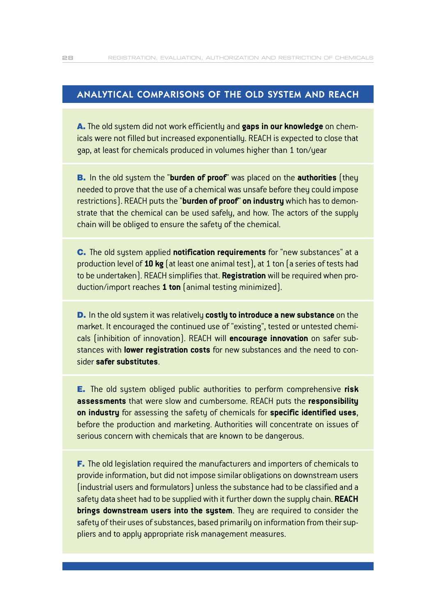#### ANALYTICAL COMPARISONS OF THE OLD SYSTEM AND REACH

∞.The old system did not work efficiently and **gaps in our knowledge** on chemicals were not filled but increased exponentially. REACH is expected to close that gap, at least for chemicals produced in volumes higher than 1 ton/year

B. In the old system the "**burden of proof**" was placed on the **authorities** (they needed to prove that the use of a chemical was unsafe before they could impose restrictions). REACH puts the "**burden of proof**" **on industry** which has to demonstrate that the chemical can be used safely, and how. The actors of the supply chain will be obliged to ensure the safety of the chemical.

C. The old system applied **notification requirements** for "new substances" at a production level of **10 kg** (at least one animal test), at 1 ton (a series of tests had to be undertaken). REACH simplifies that. **Registration** will be required when production/import reaches **1 ton** (animal testing minimized).

D. In the old system it was relatively **costly to introduce a new substance** on the market. It encouraged the continued use of "existing", tested or untested chemicals (inhibition of innovation). REACH will **encourage innovation** on safer substances with **lower registration costs** for new substances and the need to consider **safer substitutes**.

E. The old system obliged public authorities to perform comprehensive **risk assessments** that were slow and cumbersome. REACH puts the **responsibility on industry** for assessing the safety of chemicals for **specific identified uses**, before the production and marketing. Authorities will concentrate on issues of serious concern with chemicals that are known to be dangerous.

F. The old legislation required the manufacturers and importers of chemicals to provide information, but did not impose similar obligations on downstream users (industrial users and formulators) unless the substance had to be classified and a safety data sheet had to be supplied with it further down the supply chain. **REACH brings downstream users into the system**. They are required to consider the safety of their uses of substances, based primarily on information from their suppliers and to apply appropriate risk management measures.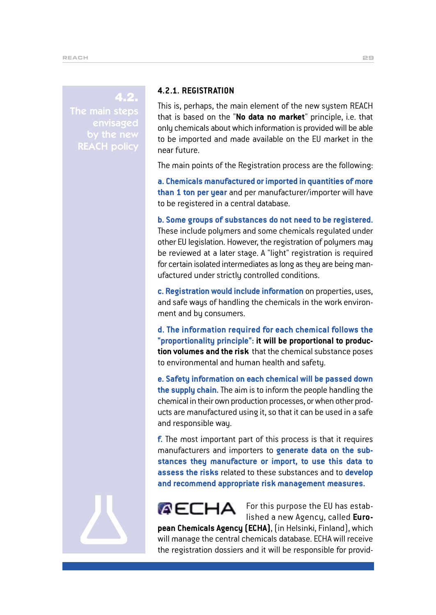#### 4.2.

The main steps envisaged by the new REACH policy

#### **4.2.1. REGISTRATION**

This is, perhaps, the main element of the new system REACH that is based on the "**No data no market**" principle, i.e. that only chemicals about which information is provided will be able to be imported and made available on the EU market in the near future.

The main points of the Registration process are the following:

**a. Chemicals manufactured or imported in quantities of more than 1 ton per year** and per manufacturer/importer will have to be registered in a central database.

**b. Some groups of substances do not need to be registered.** These include polymers and some chemicals regulated under other EU legislation. However, the registration of polymers may be reviewed at a later stage. A "light" registration is required for certain isolated intermediates as long as they are being manufactured under strictly controlled conditions.

**c. Registration would include information** on properties, uses, and safe ways of handling the chemicals in the work environment and by consumers.

**d. The information required for each chemical follows the "proportionality principle": it will be proportional to production volumes and the risk** that the chemical substance poses to environmental and human health and safety.

**e. Safety information on each chemical will be passed down the supply chain.** The aim is to inform the people handling the chemical in their own production processes, or when other products are manufactured using it, so that it can be used in a safe and responsible way.

**f.** The most important part of this process is that it requires manufacturers and importers to **generate data on the substances they manufacture or import, to use this data to assess the risks** related to these substances and to **develop and recommend appropriate risk management measures.**



For this purpose the EU has established a new Agency, called **Euro-**

**pean Chemicals Agency (ECHA)**, (in Helsinki, Finland), which will manage the central chemicals database. ECHA will receive the registration dossiers and it will be responsible for provid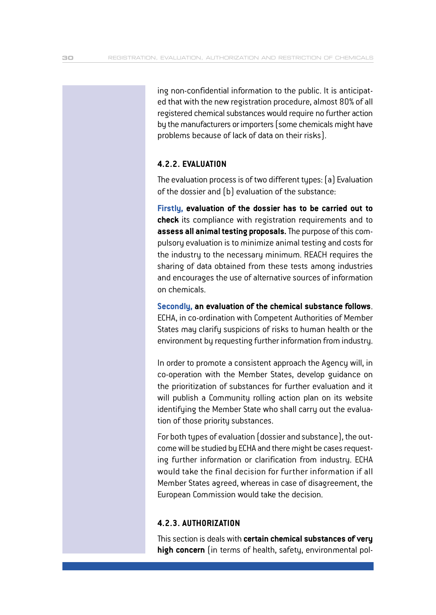ing non-confidential information to the public. It is anticipated that with the new registration procedure, almost 80% of all registered chemical substances would require no further action by the manufacturers or importers (some chemicals might have problems because of lack of data on their risks).

#### **4.2.2. EVALUATION**

The evaluation process is of two different types: (a) Evaluation of the dossier and (b) evaluation of the substance:

**Firstly, evaluation of the dossier has to be carried out to check** its compliance with registration requirements and to **assess all animal testing proposals.**The purpose of this compulsory evaluation is to minimize animal testing and costs for the industry to the necessary minimum. REACH requires the sharing of data obtained from these tests among industries and encourages the use of alternative sources of information on chemicals.

**Secondly, an evaluation of the chemical substance follows**. ECHA, in co-ordination with Competent Authorities of Member States may clarify suspicions of risks to human health or the environment by requesting further information from industry.

In order to promote a consistent approach the Agency will, in co-operation with the Member States, develop guidance on the prioritization of substances for further evaluation and it will publish a Community rolling action plan on its website identifying the Member State who shall carry out the evaluation of those priority substances.

For both types of evaluation (dossier and substance), the outcomewill be studied by ECHA and there might be cases requesting further information or clarification from industry. ECHA would take the final decision for further information if all Member States agreed, whereas in case of disagreement, the European Commission would take the decision.

#### **4.2.3. AUTHORIZATION**

This section is deals with **certain chemical substances of very high concern** (in terms of health, safety, environmental pol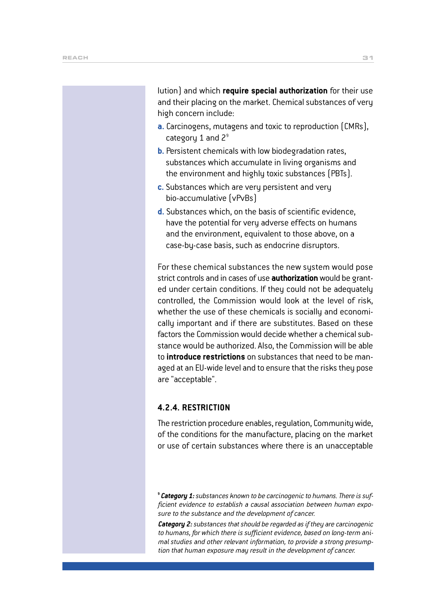lution) and which **require special authorization** for their use and their placing on the market. Chemical substances of very high concern include:

- **a.** Carcinogens, mutagens and toxic to reproduction (CMRs), category 1 and  $2<sup>9</sup>$
- **b.** Persistent chemicals with low biodegradation rates, substances which accumulate in living organisms and the environment and highly toxic substances (PBTs).
- **c.** Substances which are very persistent and very bio-accumulative (vPvBs)
- **d.** Substances which, on the basis of scientific evidence, have the potential for very adverse effects on humans and the environment, equivalent to those above, on a case-by-case basis, such as endocrine disruptors.

For these chemical substances the new system would pose strict controls and in cases of use **authorization**would be granted under certain conditions. If they could not be adequately controlled, the Commission would look at the level of risk, whether the use of these chemicals is socially and economically important and if there are substitutes. Based on these factors the Commission would decide whether a chemical substance would be authorized. Also, the Commission will be able to **introduce restrictions** on substances that need to be managed at an EU-wide level and to ensure that the risks they pose are "acceptable".

#### **4.2.4. RESTRICTION**

The restriction procedure enables, regulation, Community wide, of the conditions for the manufacture, placing on the market or use of certain substances where there is an unacceptable

**<sup>9</sup>** *Category 1:substances known to be carcinogenic to humans. There is sufficient evidence to establish a causal association between human exposure to the substance and the development of cancer.*

*Category 2:substances that should be regarded as if they are carcinogenic to humans, for which there is sufficient evidence, based on long-term animal studies and other relevant information, to provide a strong presumption that human exposure may result in the development of cancer.*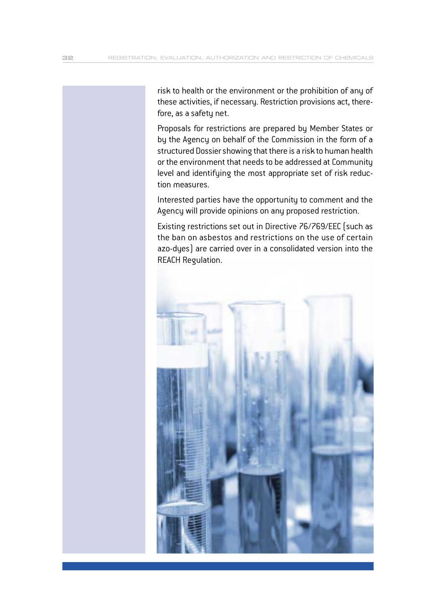risk to health or the environment or the prohibition of any of these activities, if necessary. Restriction provisions act, therefore, as a safety net.

Proposals for restrictions are prepared by Member States or by the Agency on behalf of the Commission in the form of a structured Dossier showing that there is a risk to human health or the environment that needs to be addressed at Community level and identifying the most appropriate set of risk reduction measures.

Interested parties have the opportunity to comment and the Agency will provide opinions on any proposed restriction.

Existing restrictions set out in Directive 76/769/EEC (such as the ban on asbestos and restrictions on the use of certain azo-dyes) are carried over in a consolidated version into the REACH Regulation.

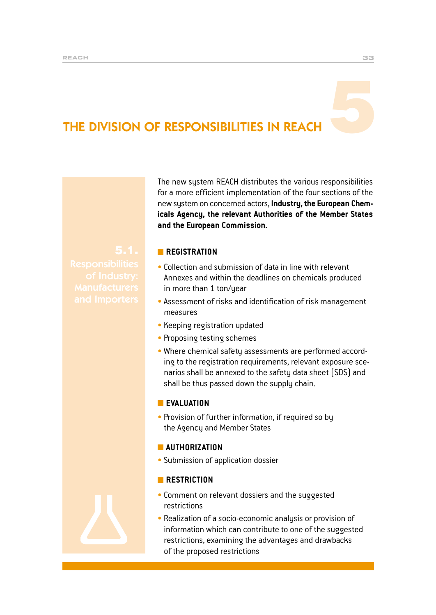# THE DIVISION OF RESPONSIBILITIES IN REACH

The new system REACH distributes the various responsibilities for a more efficient implementation of the four sections of the new system on concerned actors, **Industry, the European Chemicals Agency, the relevant Authorities of the Member States and the European Commission.**

#### **REGISTRATION**

- $\bullet$  Collection and submission of data in line with relevant Annexes and within the deadlines on chemicals produced in more than 1 ton/year
- Assessment of risks and identification of risk management measures
- Keeping registration updated
- Proposing testing schemes
- Where chemical safety assessments are performed according to the registration requirements, relevant exposure scenarios shall be annexed to the safety data sheet (SDS) and shall be thus passed down the supply chain.

#### **EVALUATION**

• Provision of further information, if required so by the Agency and Member States

#### **MAUTHORIZATION**

• Submission of application dossier

#### **RESTRICTION**

- Comment on relevant dossiers and the suggested restrictions
- Realization of a socio-economic analysis or provision of information which can contribute to one of the suggested restrictions, examining the advantages and drawbacks of the proposed restrictions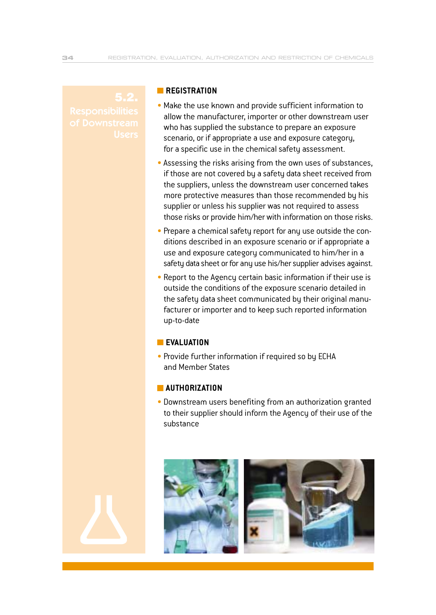#### **REGISTRATION**

- Make the use known and provide sufficient information to allow the manufacturer, importer or other downstream user who has supplied the substance to prepare an exposure scenario, or if appropriate a use and exposure category, for a specific use in the chemical safety assessment.
- Assessing the risks arising from the own uses of substances, if those are not covered by a safety data sheet received from the suppliers, unless the downstream user concerned takes more protective measures than those recommended by his supplier or unless his supplier was not required to assess those risks or provide him/her with information on those risks.
- Prepare a chemical safety report for any use outside the conditions described in an exposure scenario or if appropriate a use and exposure category communicated to him/her in a safety data sheet or for any use his/her supplier advises against.
- Report to the Agency certain basic information if their use is outside the conditions of the exposure scenario detailed in the safety data sheet communicated by their original manufacturer or importer and to keep such reported information up-to-date

#### **EVALUATION**

• Provide further information if required so by ECHA and Member States

#### **AUTHORIZATION**

• Downstream users benefiting from an authorization granted to their supplier should inform the Agency of their use of the substance

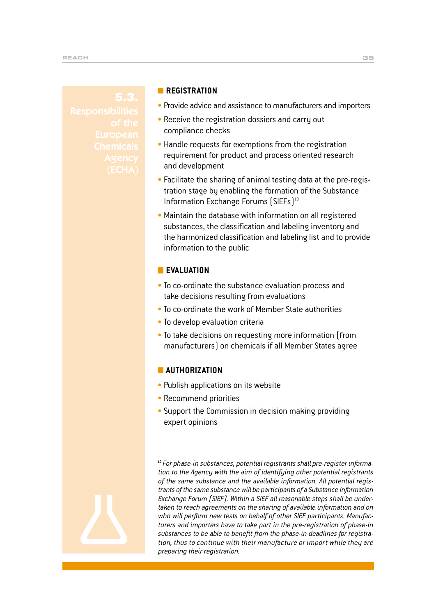#### **REGISTRATION**

- Provide advice and assistance to manufacturers and importers
- Receive the registration dossiers and carry out compliance checks
- Handle requests for exemptions from the registration requirement for product and process oriented research and development
- Facilitate the sharing of animal testing data at the pre-registration stage by enabling the formation of the Substance Information Exchange Forums (SIEFs)<sup>10</sup>
- Maintain the database with information on all registered substances, the classification and labeling inventory and the harmonized classification and labeling list and to provide information to the public

#### **EVALUATION**

- To co-ordinate the substance evaluation process and take decisions resulting from evaluations
- To co-ordinate the work of Member State authorities
- To develop evaluation criteria
- To take decisions on requesting more information (from manufacturers) on chemicals if all Member States agree

#### **AUTHORIZATION**

- Publish applications on its website
- Recommend priorities
- Support the Commission in decision making providing expert opinions

**10** *For phase-in substances, potential registrants shall pre-register information to the Agency with the aim of identifying other potential registrants of the same substance and the available information. All potential registrants of the same substance will be participants of a Substance Information Exchange Forum (SIEF). Within a SIEF all reasonable steps shall be undertaken to reach agreements on the sharing of available information and on who will perform new tests on behalf of other SIEF participants. Manufacturers and importers have to take part in the pre-registration of phase-in substances to be able to benefit from the phase-in deadlines for registration, thus to continue with their manufacture or import while they are preparing their registration.*

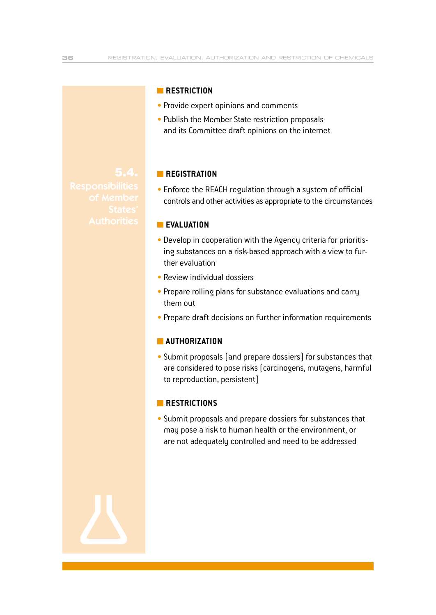#### **RESTRICTION**

- Provide expert opinions and comments
- Publish the Member State restriction proposals and its Committee draft opinions on the internet

#### **REGISTRATION**

• Enforce the REACH regulation through a system of official controls and other activities as appropriate to the circumstances

#### **EVALUATION**

- Develop in cooperation with the Agency criteria for prioritising substances on a risk-based approach with a view to further evaluation
- $\bullet$  Review individual dossiers
- Prepare rolling plans for substance evaluations and carry them out
- Prepare draft decisions on further information requirements

#### **AUTHORIZATION**

• Submit proposals (and prepare dossiers) for substances that are considered to pose risks (carcinogens, mutagens, harmful to reproduction, persistent)

#### **RESTRICTIONS**

• Submit proposals and prepare dossiers for substances that may pose a risk to human health or the environment, or are not adequately controlled and need to be addressed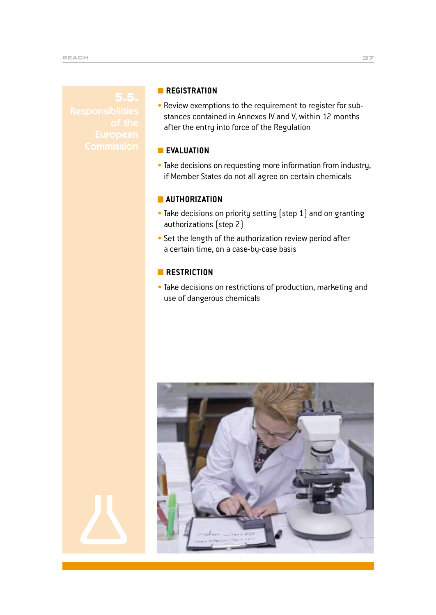#### **REGISTRATION**

• Review exemptions to the requirement to register for substances contained in Annexes IV and V, within 12 months after the entry into force of the Regulation

#### **EVALUATION**

• Take decisions on requesting more information from industry, if Member States do not all agree on certain chemicals

#### **AUTHORIZATION**

- Take decisions on priority setting (step 1) and on granting authorizations (step 2)
- Set the length of the authorization review period after a certain time, on a case-by-case basis

#### **RESTRICTION**

• Take decisions on restrictions of production, marketing and use of dangerous chemicals

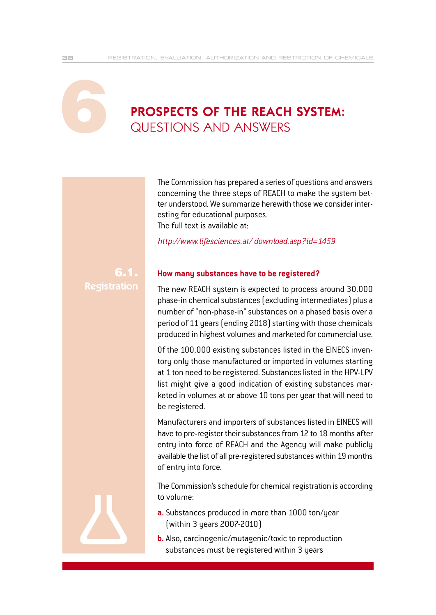# PROSPECTS OF THE REACH SYSTEM:<br>QUESTIONS AND ANSWERS

The Commission has prepared a series of questions and answers concerning the three steps of REACH to make the system better understood. We summarize herewith those we consider interesting for educational purposes. The full text is available at:

*http://www.lifesciences.at/ download.asp?id=1459*

#### 6.1. Registration

#### **How many substances have to be registered?**

The new REACH system is expected to process around 30.000 phase-in chemical substances (excluding intermediates) plus a number of "non-phase-in" substances on a phased basis over a period of 11 years (ending 2018) starting with those chemicals produced in highest volumes and marketed for commercial use.

Of the 100.000 existing substances listed in the EINECS inventory only those manufactured or imported in volumes starting at 1 ton need to be registered. Substances listed in the HPV-LPV list might give a good indication of existing substances marketed in volumes at or above 10 tons per year that will need to be registered.

Manufacturers and importers of substances listed in EINECS will have to pre-register their substances from 12 to 18 months after entry into force of REACH and the Agency will make publicly available the list of all pre-registered substances within 19 months of entry into force.

The Commission's schedule for chemical registration is according to volume:

- **a.** Substances produced in more than 1000 ton/year (within 3 years 2007-2010)
- **b.** Also, carcinogenic/mutagenic/toxic to reproduction substances must be registered within 3 years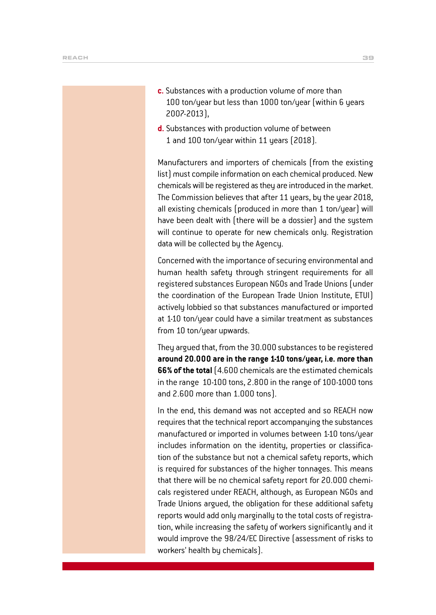- **c.** Substances with a production volume of more than 100 ton/year but less than 1000 ton/year (within 6 years 2007-2013),
- **d.** Substances with production volume of between 1 and 100 ton/year within 11 years (2018).

Manufacturers and importers of chemicals (from the existing list) must compile information on each chemical produced. New chemicals will be registered as they are introduced in the market. The Commission believes that after 11 years, by the year 2018, all existing chemicals (produced in more than 1 ton/year) will have been dealt with (there will be a dossier) and the system will continue to operate for new chemicals only. Registration data will be collected by the Agency.

Concerned with the importance of securing environmental and human health safety through stringent requirements for all registered substances European NGOs and Trade Unions (under the coordination of the European Trade Union Institute, ETUI) actively lobbied so that substances manufactured or imported at 1-10 ton/year could have a similar treatment as substances from 10 ton/year upwards.

They argued that, from the 30.000 substances to be registered **around 20.000 are in the range 1-10 tons/year, i.e. more than 66% of the total** (4.600 chemicals are the estimated chemicals in the range 10-100 tons, 2.800 in the range of 100-1000 tons and 2.600 more than 1.000 tons).

In the end, this demand was not accepted and so REACH now requires that the technical report accompanying the substances manufactured or imported in volumes between 1-10 tons/year includes information on the identity, properties or classification of the substance but not a chemical safety reports, which is required for substances of the higher tonnages. This means that there will be no chemical safety report for 20.000 chemicals registered under REACH, although, as European NGOs and Trade Unions argued, the obligation for these additional safety reports would add only marginally to the total costs of registration, while increasing the safety of workers significantly and it would improve the 98/24/EC Directive (assessment of risks to workers' health by chemicals).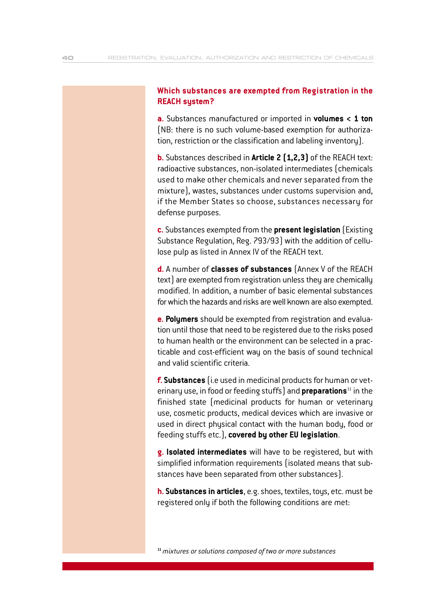#### **Which substances are exempted from Registration in the REACH system?**

**a.** Substances manufactured or imported in **volumes < 1 ton** (NB: there is no such volume-based exemption for authorization, restriction or the classification and labeling inventory).

**b.** Substances described in **Article 2 (1,2,3)** of the REACH text: radioactive substances, non-isolated intermediates (chemicals used to make other chemicals and never separated from the mixture), wastes, substances under customs supervision and, if the Member States so choose, substances necessary for defense purposes.

**c.** Substances exempted from the **present legislation** (Existing Substance Regulation, Reg. 793/93) with the addition of cellulose pulp as listed in Annex IV of the REACH text.

**d.** A number of **classes of substances** (Annex V of the REACH text) are exempted from registration unless they are chemically modified. In addition, a number of basic elemental substances for which the hazards and risks are well known are also exempted.

**e. Polymers** should be exempted from registration and evaluation until those that need to be registered due to the risks posed to human health or the environment can be selected in a practicable and cost-efficient way on the basis of sound technical and valid scientific criteria.

**f. Substances** (i.e used in medicinal products for human or veterinary use, in food or feeding stuffs) and **preparations**<sup>11</sup> in the finished state (medicinal products for human or veterinary use, cosmetic products, medical devices which are invasive or used in direct physical contact with the human body, food or feeding stuffs etc.), **covered by other EU legislation**.

**g. Isolated intermediates** will have to be registered, but with simplified information requirements (isolated means that substances have been separated from other substances).

**h. Substances in articles**, e.g. shoes, textiles, toys, etc. must be registered only if both the following conditions are met:

**11** *mixtures or solutions composed of two or more substances*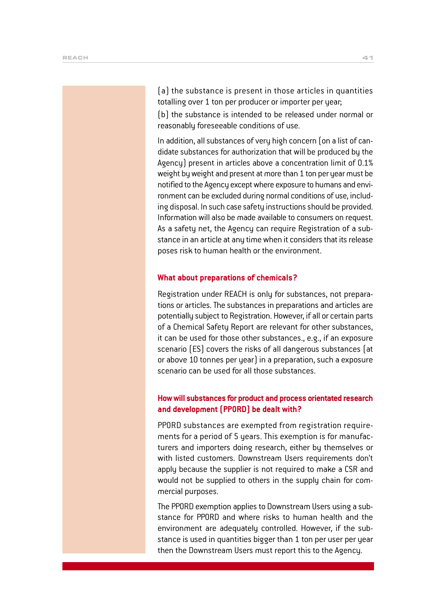(a) the substance is present in those articles in quantities totalling over 1 ton per producer or importer per year;

(b) the substance is intended to be released under normal or reasonably foreseeable conditions of use.

In addition, all substances of very high concern (on a list of candidate substances for authorization that will be produced by the Agency) present in articles above a concentration limit of 0.1% weight by weight and present at more than 1 ton per year must be notified to the Agency except where exposure to humans and environment can be excluded during normal conditions of use, including disposal. In such case safety instructions should be provided. Information will also be made available to consumers on request. As a safety net, the Agency can require Registration of a substance in an article at any time when it considers that its release poses risk to human health or the environment.

#### **What about preparations of chemicals?**

Registration under REACH is only for substances, not preparations or articles. The substances in preparations and articles are potentially subject to Registration. However, if all or certain parts of a Chemical Safety Report are relevant for other substances, it can be used for those other substances., e.g., if an exposure scenario (ES) covers the risks of all dangerous substances (at or above 10 tonnes per year) in a preparation, such a exposure scenario can be used for all those substances.

#### **How will substances for product and process orientated research and development (PPORD) be dealt with?**

PPORD substances are exempted from registration requirements for a period of 5 years. This exemption is for manufacturers and importers doing research, either by themselves or with listed customers. Downstream Users requirements don't apply because the supplier is not required to make a CSR and would not be supplied to others in the supply chain for commercial purposes.

The PPORD exemption applies to Downstream Users using a substance for PPORD and where risks to human health and the environment are adequately controlled. However, if the substance is used in quantities bigger than 1 ton per user per year then the Downstream Users must report this to the Agency.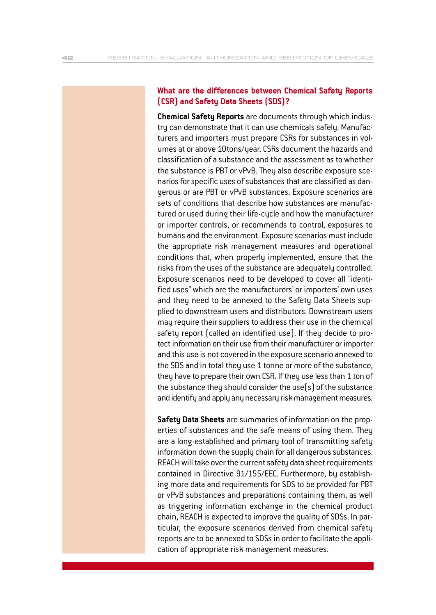#### **What are the differences between Chemical Safety Reports (CSR) and Safety Data Sheets (SDS)?**

**Chemical Safety Reports** are documents through which industry can demonstrate that it can use chemicals safely. Manufacturers and importers must prepare CSRs for substances in volumes at or above 10tons/year. CSRs document the hazards and classification of a substance and the assessment as to whether the substance is PBT or vPvB. They also describe exposure scenarios for specific uses of substances that are classified as dangerous or are PBT or vPvB substances. Exposure scenarios are sets of conditions that describe how substances are manufactured or used during their life-cycle and how the manufacturer or importer controls, or recommends to control, exposures to humans and the environment. Exposure scenarios must include the appropriate risk management measures and operational conditions that, when properly implemented, ensure that the risks from the uses of the substance are adequately controlled. Exposure scenarios need to be developed to cover all "identified uses" which are the manufacturers' or importers' own uses and they need to be annexed to the Safety Data Sheets supplied to downstream users and distributors. Downstream users may require their suppliers to address their use in the chemical safety report (called an identified use). If they decide to protect information on their use from their manufacturer or importer and this use is not covered in the exposure scenario annexed to the SDS and in total they use 1 tonne or more of the substance, they have to prepare their own CSR. If they use less than 1 ton of the substance they should consider the use(s) of the substance and identify and apply any necessary risk management measures.

**Safety Data Sheets** are summaries of information on the properties of substances and the safe means of using them. They are a long-established and primary tool of transmitting safety information down the supply chain for all dangerous substances. REACH will take over the current safety data sheet requirements contained in Directive 91/155/EEC. Furthermore, by establishing more data and requirements for SDS to be provided for PBT or vPvB substances and preparations containing them, as well as triggering information exchange in the chemical product chain, REACH is expected to improve the quality of SDSs. In particular, the exposure scenarios derived from chemical safety reports are to be annexed to SDSs in order to facilitate the application of appropriate risk management measures.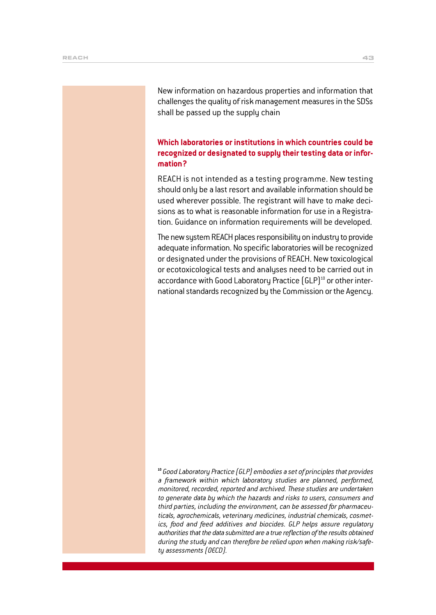New information on hazardous properties and information that challenges the quality of risk management measures in the SDSs shall be passed up the supply chain

#### **Which laboratories or institutions in which countries could be recognized or designated to supply their testing data or information?**

REACH is not intended as a testing programme. New testing should only be a last resort and available information should be used wherever possible. The registrant will have to make decisions as to what is reasonable information for use in a Registration. Guidance on information requirements will be developed.

The new system REACH places responsibility on industry to provide adequate information. No specific laboratories will be recognized or designated under the provisions of REACH. New toxicological or ecotoxicological tests and analyses need to be carried out in accordance with Good Laboratory Practice (GLP)<sup>10</sup> or other international standards recognized by the Commission or the Agency.

**<sup>10</sup>***Good Laboratory Practice (GLP) embodies a set of principles that provides a framework within which laboratory studies are planned, performed, monitored, recorded, reported and archived. These studies are undertaken to generate data by which the hazards and risks to users, consumers and third parties, including the environment, can be assessed for pharmaceuticals, agrochemicals, veterinary medicines, industrial chemicals, cosmetics, food and feed additives and biocides. GLP helps assure regulatory authorities that the data submitted are a true reflection of the results obtained during the study and can therefore be relied upon when making risk/safety assessments (OECD).*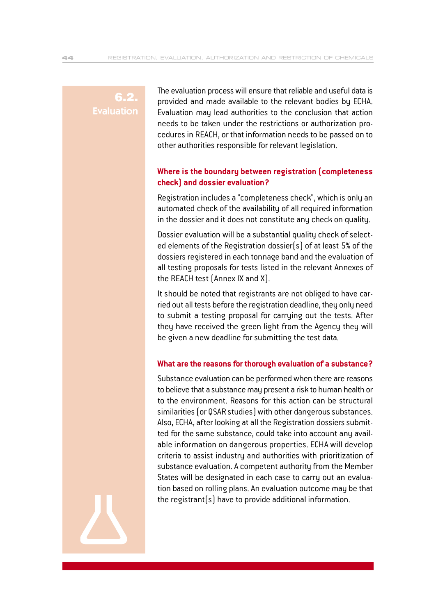#### 6.2. **Evaluation**

The evaluation process will ensure that reliable and useful data is provided and made available to the relevant bodies by ECHA. Evaluation may lead authorities to the conclusion that action needs to be taken under the restrictions or authorization procedures in REACH, or that information needs to be passed on to other authorities responsible for relevant legislation.

#### **Where is the boundary between registration (completeness check) and dossier evaluation?**

Registration includes a "completeness check", which is only an automated check of the availability of all required information in the dossier and it does not constitute any check on quality.

Dossier evaluation will be a substantial quality check of selected elements of the Registration dossier(s) of at least 5% of the dossiers registered in each tonnage band and the evaluation of all testing proposals for tests listed in the relevant Annexes of the REACH test (Annex IX and X).

It should be noted that registrants are not obliged to have carried out all tests before the registration deadline, they only need to submit a testing proposal for carrying out the tests. After they have received the green light from the Agency they will be given a new deadline for submitting the test data.

#### **What are the reasons for thorough evaluation of a substance?**

Substance evaluation can be performed when there are reasons to believe that a substance may present a risk to human health or to the environment. Reasons for this action can be structural similarities (or QSAR studies) with other dangerous substances. Also, ECHA, after looking at all the Registration dossiers submitted for the same substance, could take into account any available information on dangerous properties. ECHA will develop criteria to assist industry and authorities with prioritization of substance evaluation. A competent authority from the Member States will be designated in each case to carry out an evaluation based on rolling plans. An evaluation outcome may be that the registrant(s) have to provide additional information.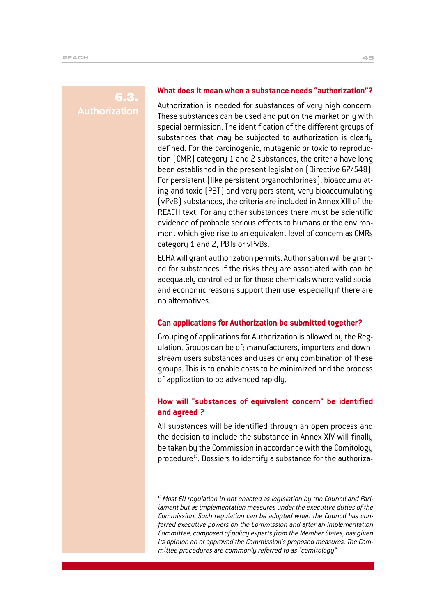#### 6.3. **Authorization**

#### **What does it mean when a substance needs "authorization"?**

Authorization is needed for substances of very high concern. These substances can be used and put on the market only with special permission. The identification of the different groups of substances that may be subjected to authorization is clearly defined. For the carcinogenic, mutagenic or toxic to reproduction (CMR) category 1 and 2 substances, the criteria have long been established in the present legislation (Directive 67/548). For persistent (like persistent organochlorines), bioaccumulating and toxic (PBT) and very persistent, very bioaccumulating (vPvB) substances, the criteria are included in Annex XIII of the REACH text. For any other substances there must be scientific evidence of probable serious effects to humans or the environment which give rise to an equivalent level of concern as CMRs category 1 and 2, PBTs or vPvBs.

ECHA will grant authorization permits. Authorisation will be granted for substances if the risks they are associated with can be adequately controlled or for those chemicals where valid social and economic reasons support their use, especially if there are no alternatives.

#### **Can applications for Authorization be submitted together?**

Grouping of applications for Authorization is allowed by the Regulation. Groups can be of: manufacturers, importers and downstream users substances and uses or any combination of these groups. This is to enable costs to be minimized and the process of application to be advanced rapidly.

#### **How will "substances of equivalent concern" be identified and agreed ?**

All substances will be identified through an open process and the decision to include the substance in Annex XIV will finally be taken by the Commission in accordance with the Comitology procedure<sup>13</sup>. Dossiers to identify a substance for the authoriza-

**13** *Most EU regulation in not enacted as legislation by the Council and Parliament but as implementation measures under the executive duties of the Commission. Such regulation can be adopted when the Council has conferred executive powers on the Commission and after an Implementation Committee, composed of policy experts from the Member States, has given its opinion on or approved the Commission's proposed measures. The Committee procedures are commonly referred to as "comitology".*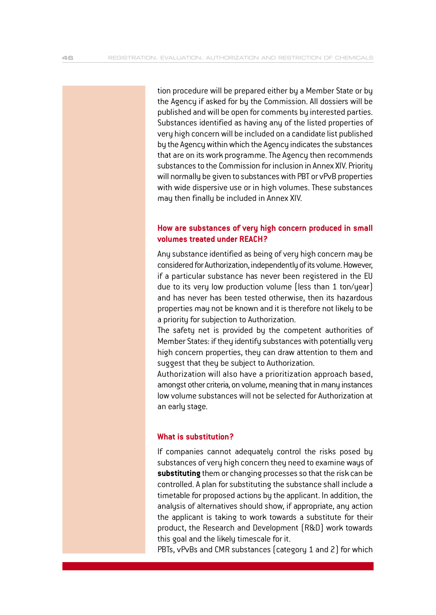tion procedure will be prepared either by a Member State or by the Agency if asked for by the Commission. All dossiers will be published and will be open for comments by interested parties. Substances identified as having any of the listed properties of very high concern will be included on a candidate list published by the Agency within which the Agency indicates the substances that are on its work programme. The Agency then recommends substances to the Commission for inclusion in Annex XIV. Priority will normally be given to substances with PBT or vPvB properties with wide dispersive use or in high volumes. These substances may then finally be included in Annex XIV.

#### **How are substances of very high concern produced in small volumes treated under REACH?**

Any substance identified as being of very high concern may be considered for Authorization, independently of its volume. However, if a particular substance has never been registered in the EU due to its very low production volume (less than 1 ton/year) and has never has been tested otherwise, then its hazardous properties may not be known and it is therefore not likely to be a priority for subjection to Authorization.

The safety net is provided by the competent authorities of Member States: if they identify substances with potentially very high concern properties, they can draw attention to them and suggest that they be subject to Authorization.

Authorization will also have a prioritization approach based, amongst other criteria, on volume, meaning that in many instances low volume substances will not be selected for Authorization at an early stage.

#### **What is substitution?**

If companies cannot adequately control the risks posed by substances of very high concern they need to examine ways of **substituting** them or changing processes so that the risk can be controlled. A plan for substituting the substance shall include a timetable for proposed actions by the applicant. In addition, the analysis of alternatives should show, if appropriate, any action the applicant is taking to work towards a substitute for their product, the Research and Development (R&D) work towards this goal and the likely timescale for it.

PBTs, vPvBs and CMR substances (category 1 and 2) for which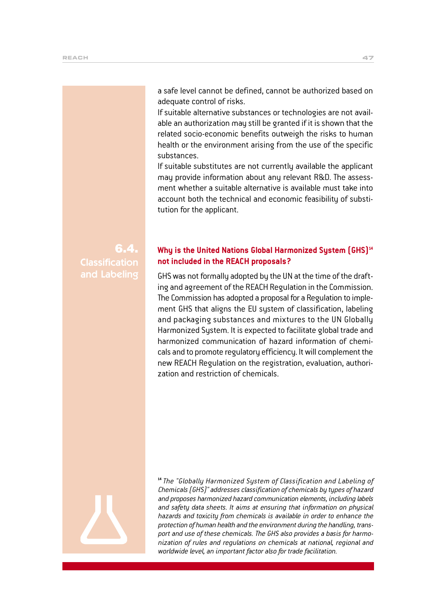a safe level cannot be defined, cannot be authorized based on adequate control of risks.

If suitable alternative substances or technologies are not available an authorization may still be granted if it is shown that the related socio-economic benefits outweigh the risks to human health or the environment arising from the use of the specific substances.

If suitable substitutes are not currently available the applicant may provide information about any relevant R&D. The assessment whether a suitable alternative is available must take into account both the technical and economic feasibility of substitution for the applicant.

#### 6.4. **Classification** and Labeling

#### Why is the United Nations Global Harmonized System [GHS]<sup>14</sup> **not included in the REACH proposals?**

GHS was not formally adopted by the UN at the time of the drafting and agreement of the REACH Regulation in the Commission. The Commission has adopted a proposal for a Regulation to implement GHS that aligns the EU system of classification, labeling and packaging substances and mixtures to the UN Globally Harmonized System. It is expected to facilitate global trade and harmonized communication of hazard information of chemicals and to promote regulatory efficiency. It will complement the new REACH Regulation on the registration, evaluation, authorization and restriction of chemicals.

**<sup>14</sup>***The "Globally Harmonized System of Classification and Labeling of Chemicals (GHS)" addresses classification of chemicals by types of hazard and proposes harmonized hazard communication elements, including labels and safety data sheets. It aims at ensuring that information on physical hazards and toxicity from chemicals is available in order to enhance the protection of human health and the environment during the handling, transport and use of these chemicals. The GHS also provides a basis for harmonization of rules and regulations on chemicals at national, regional and worldwide level, an important factor also for trade facilitation.*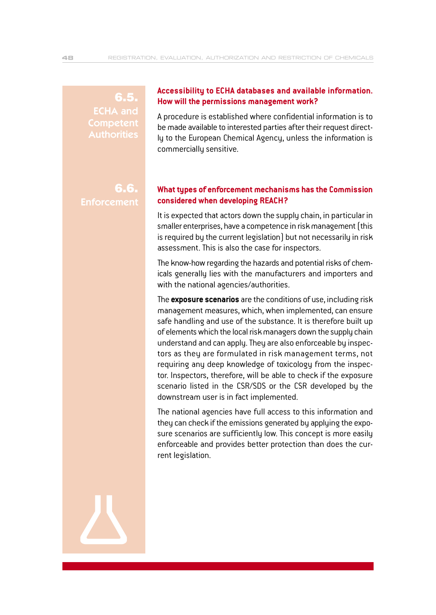6.5. ECHA and **Competent** Authorities

### **Accessibility to ECHA databases and available information. How will the permissions management work?**

A procedure is established where confidential information is to be made available to interested parties after their request directly to the European Chemical Agency, unless the information is commercially sensitive.

6.6. **Enforcement** 

#### **What types of enforcement mechanisms has the Commission considered when developing REACH?**

It is expected that actors down the supply chain, in particular in smaller enterprises, have a competence in risk management (this is required by the current legislation) but not necessarily in risk assessment. This is also the case for inspectors.

The know-how regarding the hazards and potential risks of chemicals generally lies with the manufacturers and importers and with the national agencies/authorities.

The **exposure scenarios** are the conditions of use, including risk management measures, which, when implemented, can ensure safe handling and use of the substance. It is therefore built up of elements which the local risk managers down the supply chain understand and can apply. They are also enforceable by inspectors as they are formulated in risk management terms, not requiring any deep knowledge of toxicology from the inspector. Inspectors, therefore, will be able to check if the exposure scenario listed in the CSR/SDS or the CSR developed by the downstream user is in fact implemented.

The national agencies have full access to this information and they can check if the emissions generated by applying the exposure scenarios are sufficiently low. This concept is more easily enforceable and provides better protection than does the current legislation.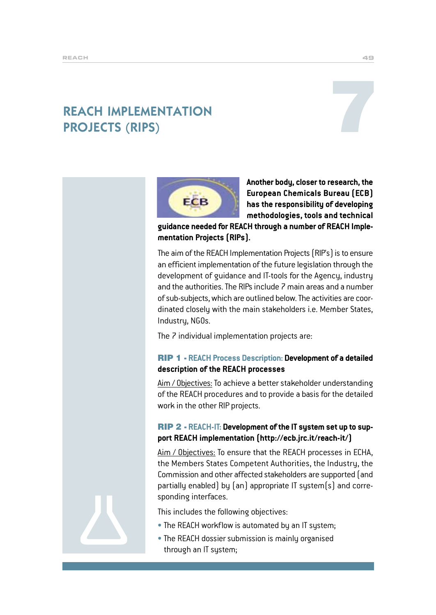# REACH IMPLEMENTATION **REACH IMPLEMENTATION<br>PROJECTS (RIPS)**





**Another body, closer to research, the European Chemicals Bureau (ECB) has the responsibility of developing methodologies, tools and technical**

**guidance needed for REACH through a number of REACH Implementation Projects (RIPs).**

The aim of the REACH Implementation Projects (RIP's) is to ensure an efficient implementation of the future legislation through the development of guidance and IT-tools for the Agency, industry and the authorities. The RIPs include 7 main areas and a number of sub-subjects, which are outlined below. The activities are coordinated closely with the main stakeholders i.e. Member States, Industry, NGOs.

The 7 individual implementation projects are:

#### RIP 1 - **REACH Process Description: Development of a detailed description of the REACH processes**

Aim / Objectives: To achieve a better stakeholder understanding of the REACH procedures and to provide a basis for the detailed work in the other RIP projects.

#### RIP 2 - **REACH-IT: Development of the IT system set up to support REACH implementation (http://ecb.jrc.it/reach-it/)**

Aim / Objectives: To ensure that the REACH processes in ECHA, the Members States Competent Authorities, the Industry, the Commission and other affected stakeholders are supported (and partially enabled) by (an) appropriate IT system(s) and corresponding interfaces.

This includes the following objectives:

- The REACH workflow is automated by an IT system;
- The REACH dossier submission is mainly organised through an IT system;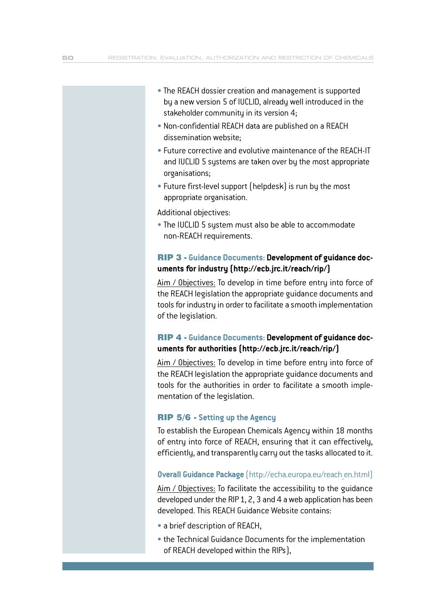- The REACH dossier creation and management is supported by a new version 5 of IUCLID, already well introduced in the stakeholder community in its version 4;
- Non-confidential REACH data are published on a REACH dissemination website;
- Future corrective and evolutive maintenance of the REACH-IT and IUCLID 5 systems are taken over by the most appropriate organisations;
- $\bullet$  Future first-level support (helpdesk) is run by the most appropriate organisation.

Additional objectives:

• The IUCLID 5 system must also be able to accommodate non-REACH requirements.

#### RIP 3 - **Guidance Documents: Development of guidance documents for industry (http://ecb.jrc.it/reach/rip/)**

Aim / Objectives: To develop in time before entry into force of the REACH legislation the appropriate guidance documents and tools for industry in order to facilitate a smooth implementation of the legislation.

#### RIP 4 - **Guidance Documents: Development of guidance documents for authorities (http://ecb.jrc.it/reach/rip/)**

Aim / Objectives: To develop in time before entry into force of the REACH legislation the appropriate guidance documents and tools for the authorities in order to facilitate a smooth implementation of the legislation.

#### RIP 5/6 - **Setting up the Agency**

To establish the European Chemicals Agency within 18 months of entry into force of REACH, ensuring that it can effectively, efficiently, and transparently carry out the tasks allocated to it.

#### **Overall Guidance Package** (http://echa.europa.eu/reach\_en.html)

Aim / Objectives: To facilitate the accessibility to the guidance developed under the RIP 1, 2, 3 and 4 a web application has been developed. This REACH Guidance Website contains:

- a brief description of REACH,
- the Technical Guidance Documents for the implementation of REACH developed within the RIPs),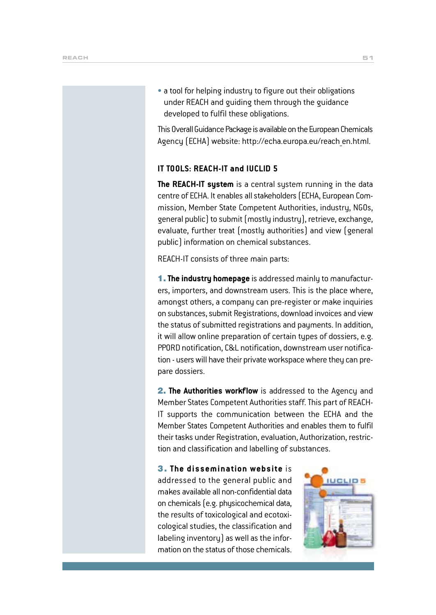• a tool for helping industry to figure out their obligations under REACH and guiding them through the guidance developed to fulfil these obligations.

This Overall Guidance Package is available on the European Chemicals Agency (ECHA) website: http://echa.europa.eu/reach\_en.html.

#### **IT TOOLS: REACH-IT and IUCLID 5**

**The REACH-IT system** is a central system running in the data centre of ECHA. It enables all stakeholders (ECHA, European Commission, Member State Competent Authorities, industry, NGOs, general public) to submit (mostly industry), retrieve, exchange, evaluate, further treat (mostly authorities) and view (general public) information on chemical substances.

REACH-IT consists of three main parts:

1. **The industry homepage** is addressed mainly to manufacturers, importers, and downstream users. This is the place where, amongst others, a company can pre-register or make inquiries on substances, submit Registrations, download invoices and view the status of submitted registrations and payments. In addition, it will allow online preparation of certain types of dossiers, e.g. PPORD notification, C&L notification, downstream user notification - users will have their private workspace where they can prepare dossiers.

2. **The Authorities workflow** is addressed to the Agency and Member States Competent Authorities staff. This part of REACH-IT supports the communication between the ECHA and the Member States Competent Authorities and enables them to fulfil their tasks under Registration, evaluation, Authorization, restriction and classification and labelling of substances.

3 . **The dissemination website** is addressed to the general public and makes available all non-confidential data on chemicals (e.g. physicochemical data, the results of toxicological and ecotoxicological studies, the classification and labeling inventory) as well as the information on the status of those chemicals.

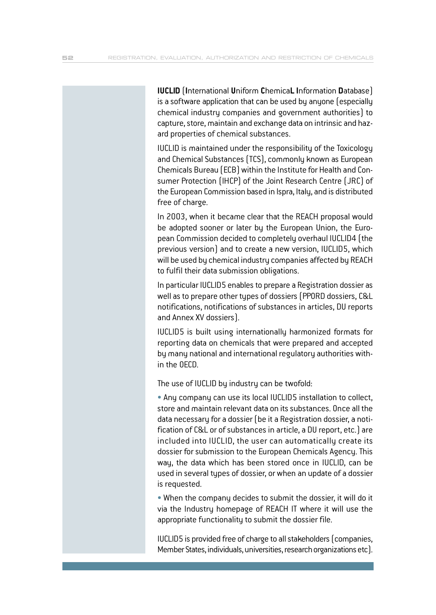**IUCLID** (**I**nternational **U**niform **C**hemica**L I**nformation **D**atabase) is a software application that can be used by anyone (especially chemical industry companies and government authorities) to capture, store, maintain and exchange data on intrinsic and hazard properties of chemical substances.

IUCLID is maintained under the responsibility of the Toxicology and Chemical Substances (TCS), commonly known as European Chemicals Bureau (ECB) within the Institute for Health and Consumer Protection (IHCP) of the Joint Research Centre (JRC) of the European Commission based in Ispra, Italy, and is distributed free of charge.

In 2003, when it became clear that the REACH proposal would be adopted sooner or later by the European Union, the European Commission decided to completely overhaul IUCLID4 (the previous version) and to create a new version, IUCLID5, which will be used by chemical industry companies affected by REACH to fulfil their data submission obligations.

In particular IUCLID5 enables to prepare a Registration dossier as well as to prepare other types of dossiers (PPORD dossiers, C&L notifications, notifications of substances in articles, DU reports and Annex XV dossiers).

IUCLID5 is built using internationally harmonized formats for reporting data on chemicals that were prepared and accepted by many national and international regulatory authorities within the OECD.

The use of IUCLID by industry can be twofold:

• Any company can use its local IUCLID5 installation to collect, store and maintain relevant data on its substances. Once all the data necessary for a dossier (be it a Registration dossier, a notification of C&L or of substances in article, a DU report, etc.) are included into IUCLID, the user can automatically create its dossier for submission to the European Chemicals Agency. This way, the data which has been stored once in IUCLID, can be used in several types of dossier, or when an update of a dossier is requested.

• When the company decides to submit the dossier, it will do it via the Industry homepage of REACH IT where it will use the appropriate functionality to submit the dossier file.

IUCLID5 is provided free of charge to all stakeholders (companies, Member States, individuals, universities, research organizations etc).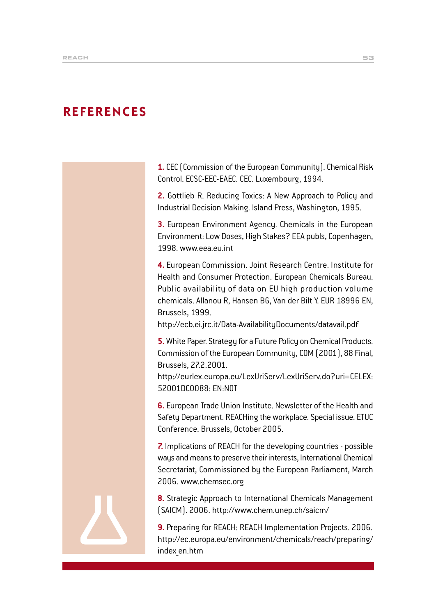## **REFERENCES**

**1.** CEC (Commission of the European Community). Chemical Risk Control. ECSC-EEC-EAEC. CEC. Luxembourg, 1994.

**2.** Gottlieb R. Reducing Toxics: A New Approach to Policy and Industrial Decision Making. Island Press, Washington, 1995.

**3.** European Environment Agency. Chemicals in the European Environment: Low Doses, High Stakes? EEA publs, Copenhagen, 1998. www.eea.eu.int

**4.** European Commission. Joint Research Centre. Institute for Health and Consumer Protection. European Chemicals Bureau. Public availability of data on EU high production volume chemicals. Allanou R, Hansen BG, Van der Bilt Y. EUR 18996 EN, Brussels, 1999.

http://ecb.ei.jrc.it/Data-AvailabilityDocuments/datavail.pdf

**5.** White Paper. Strategy for a Future Policy on Chemical Products. Commission of the European Community, COM (2001), 88 Final, Brussels, 27.2.2001.

http://eurlex.europa.eu/LexUriServ/LexUriServ.do?uri=CELEX: 52001DC0088: EN:NOT

**6.** European Trade Union Institute. Newsletter of the Health and Safety Department. REACHing the workplace. Special issue. ETUC Conference. Brussels, October 2005.

**7.** Implications of REACH for the developing countries - possible ways and means to preserve their interests, International Chemical Secretariat, Commissioned by the European Parliament, March 2006. www.chemsec.org

**8.** Strategic Approach to International Chemicals Management (SAICM). 2006. http://www.chem.unep.ch/saicm/

**9.** Preparing for REACH: REACH Implementation Projects. 2006. http://ec.europa.eu/environment/chemicals/reach/preparing/ index\_en.htm

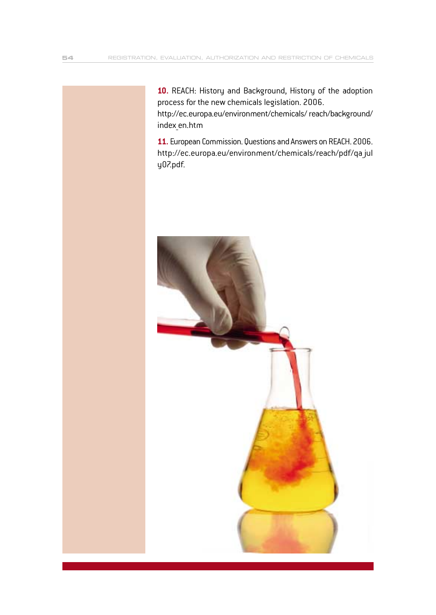**10.** REACH: History and Background, History of the adoption process for the new chemicals legislation. 2006.

http://ec.europa.eu/environment/chemicals/ reach/background/ index\_en.htm

**11.** European Commission. Questions and Answers on REACH. 2006. http://ec.europa.eu/environment/chemicals/reach/pdf/qa\_jul y07.pdf.

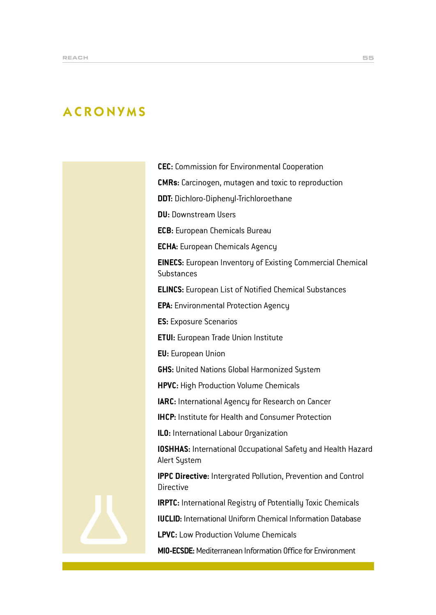# ACRONYMS

**CEC:** Commission for Environmental Cooperation

**CMRs:** Carcinogen, mutagen and toxic to reproduction

**DDT:** Dichloro-Diphenyl-Trichloroethane

**DU:** Downstream Users

**ECB:** European Chemicals Bureau

**ECHA:** European Chemicals Agency

**EINECS:** European Inventory of Existing Commercial Chemical **Substances** 

**ELINCS:** European List of Notified Chemical Substances

**EPA:** Environmental Protection Agency

**ES:** Exposure Scenarios

**ETUI:** European Trade Union Institute

**EU:** European Union

**GHS:** United Nations Global Harmonized System

**HPVC:** High Production Volume Chemicals

**IARC:** International Agency for Research on Cancer

**IHCP:** Institute for Health and Consumer Protection

**ILO:** International Labour Organization

**IOSHHAS:** International Occupational Safety and Health Hazard Alert System

**IPPC Directive:** Intergrated Pollution, Prevention and Control Directive

**IRPTC:** International Registry of Potentially Toxic Chemicals

**IUCLID:** International Uniform Chemical Information Database

**LPVC:** Low Production Volume Chemicals

**MIO-ECSDE:** Mediterranean Information Office for Environment

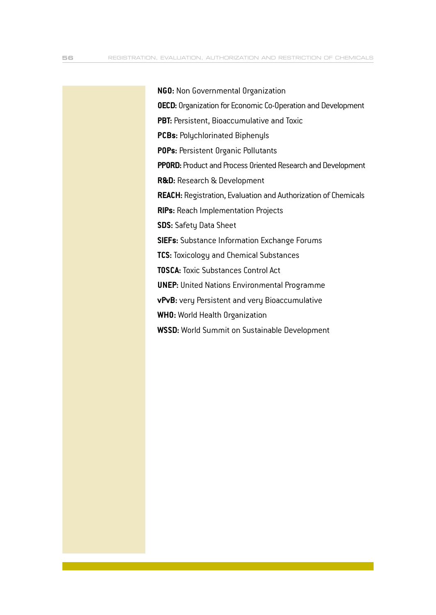**NGO:** Non Governmental Organization **OECD:** Organization for Economic Co-Operation and Development **PBT:** Persistent, Bioaccumulative and Toxic **PCBs:** Polychlorinated Biphenyls **POPs:** Persistent Organic Pollutants **PPORD:** Product and Process Oriented Research and Development **R&D:** Research & Development **REACH:** Registration, Evaluation and Authorization of Chemicals **RIPs:** Reach Implementation Projects **SDS:** Safety Data Sheet **SIEFs:** Substance Information Exchange Forums **TCS:** Toxicology and Chemical Substances **TOSCA:**Toxic Substances Control Act **UNEP:** United Nations Environmental Programme **vPvB:** very Persistent and very Bioaccumulative **WHO:** World Health Organization **WSSD:** World Summit on Sustainable Development